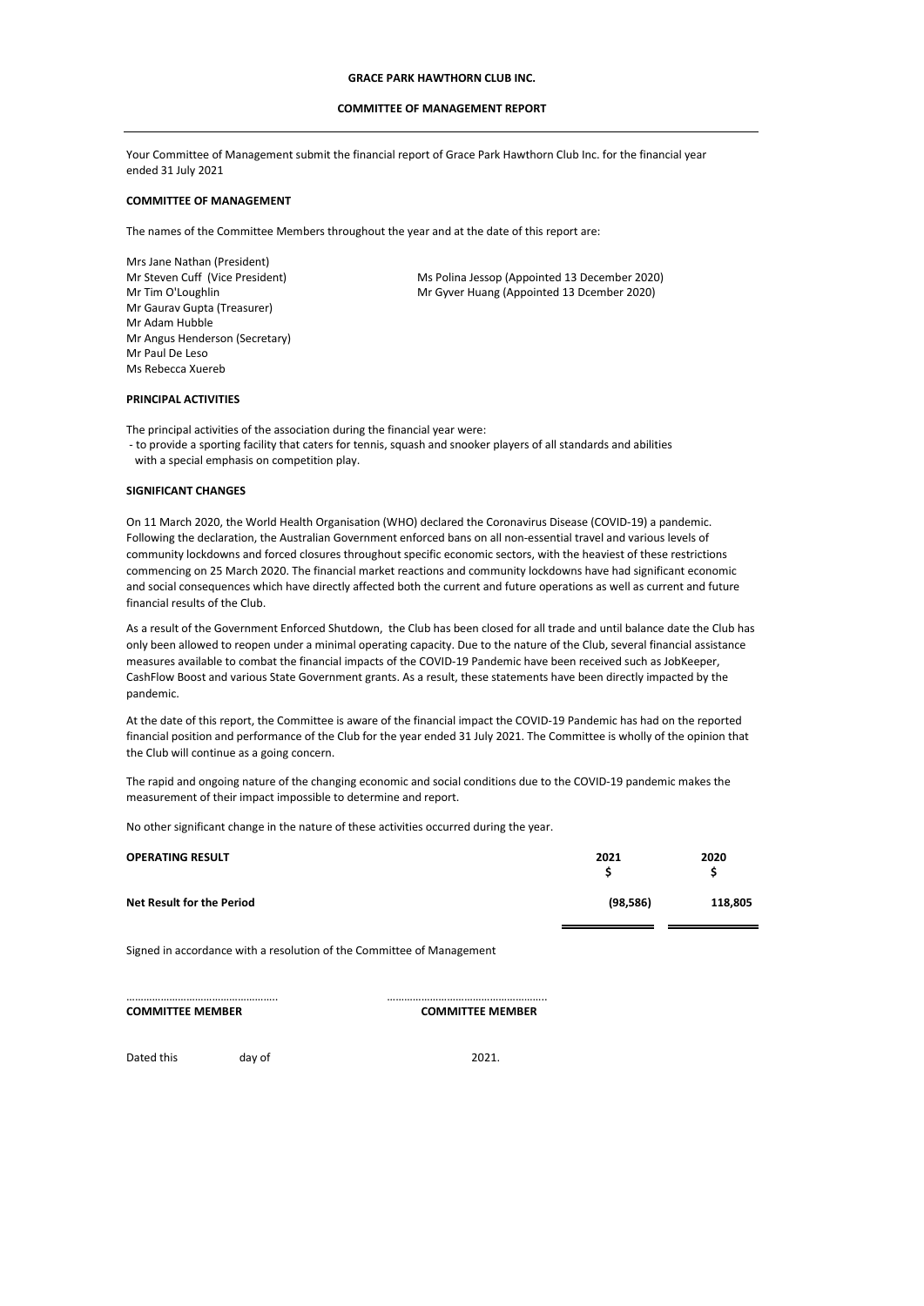## **COMMITTEE OF MANAGEMENT REPORT**

Your Committee of Management submit the financial report of Grace Park Hawthorn Club Inc. for the financial year ended 31 July 2021

## **COMMITTEE OF MANAGEMENT**

The names of the Committee Members throughout the year and at the date of this report are:

Mrs Jane Nathan (President) Mr Tim O'Loughlin Mr Gaurav Gupta (Treasurer) Mr Angus Henderson (Secretary) Mr Paul De Leso Ms Rebecca Xuereb Mr Adam Hubble

Mr Steven Cuff (Vice President) Ms Polina Jessop (Appointed 13 December 2020) Mr Gyver Huang (Appointed 13 Dcember 2020)

### **PRINCIPAL ACTIVITIES**

The principal activities of the association during the financial year were:

 - to provide a sporting facility that caters for tennis, squash and snooker players of all standards and abilities with a special emphasis on competition play.

### **SIGNIFICANT CHANGES**

On 11 March 2020, the World Health Organisation (WHO) declared the Coronavirus Disease (COVID-19) a pandemic. Following the declaration, the Australian Government enforced bans on all non-essential travel and various levels of community lockdowns and forced closures throughout specific economic sectors, with the heaviest of these restrictions commencing on 25 March 2020. The financial market reactions and community lockdowns have had significant economic and social consequences which have directly affected both the current and future operations as well as current and future financial results of the Club.

As a result of the Government Enforced Shutdown, the Club has been closed for all trade and until balance date the Club has only been allowed to reopen under a minimal operating capacity. Due to the nature of the Club, several financial assistance measures available to combat the financial impacts of the COVID-19 Pandemic have been received such as JobKeeper, CashFlow Boost and various State Government grants. As a result, these statements have been directly impacted by the pandemic.

At the date of this report, the Committee is aware of the financial impact the COVID-19 Pandemic has had on the reported financial position and performance of the Club for the year ended 31 July 2021. The Committee is wholly of the opinion that the Club will continue as a going concern.

The rapid and ongoing nature of the changing economic and social conditions due to the COVID-19 pandemic makes the measurement of their impact impossible to determine and report.

No other significant change in the nature of these activities occurred during the year.

|                                               | 2020<br>s |
|-----------------------------------------------|-----------|
| <b>Net Result for the Period</b><br>(98, 586) | 118,805   |

Signed in accordance with a resolution of the Committee of Management

…………………………………………….. ……………………………………………….. **COMMITTEE MEMBER COMMITTEE MEMBER**

Dated this day of 2021.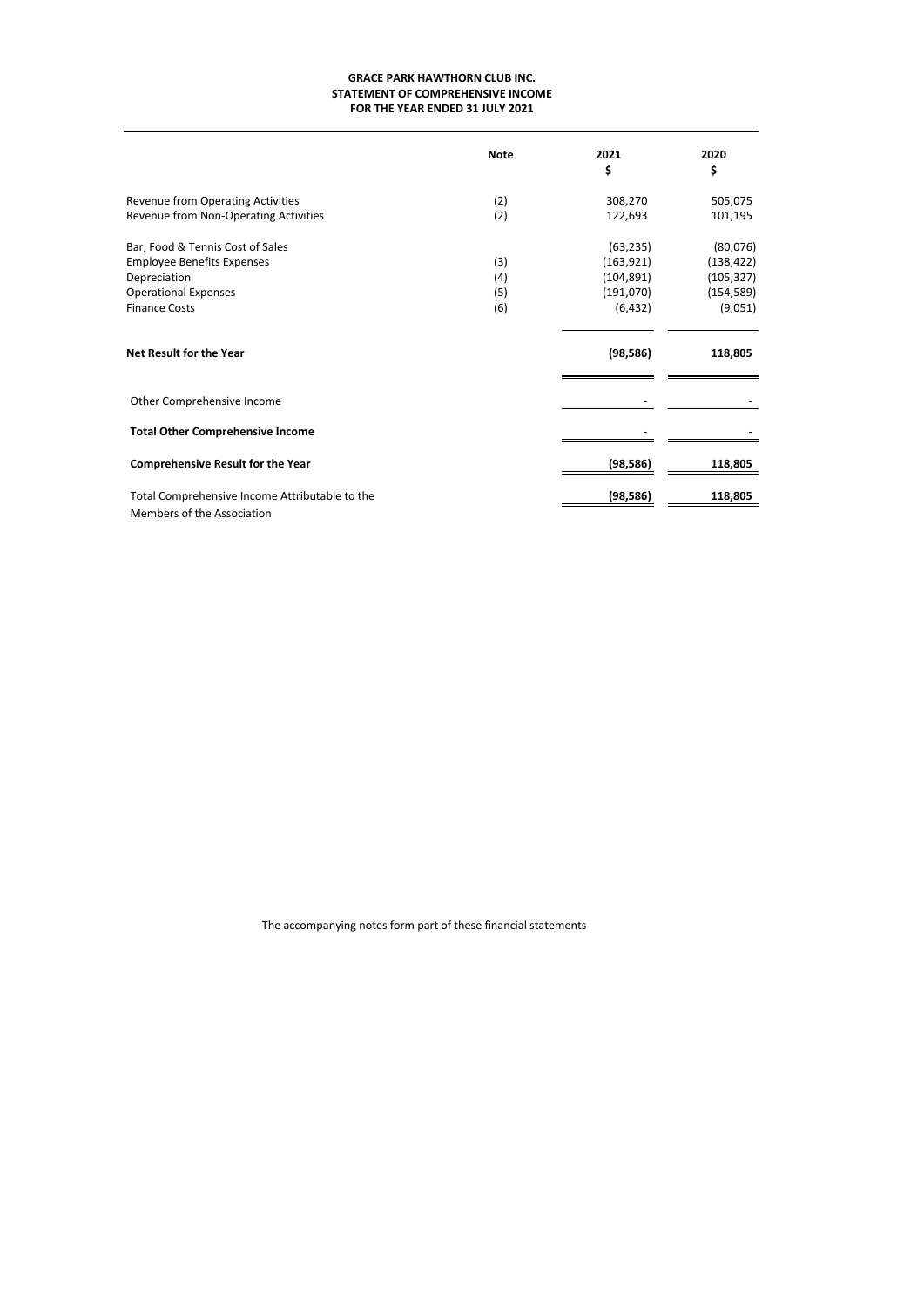# **GRACE PARK HAWTHORN CLUB INC. FOR THE YEAR ENDED 31 JULY 2021 STATEMENT OF COMPREHENSIVE INCOME**

|                                                | <b>Note</b> | 2021<br>\$ | 2020<br>\$ |
|------------------------------------------------|-------------|------------|------------|
| <b>Revenue from Operating Activities</b>       | (2)         | 308,270    | 505,075    |
| Revenue from Non-Operating Activities          | (2)         | 122,693    | 101,195    |
| Bar, Food & Tennis Cost of Sales               |             | (63, 235)  | (80,076)   |
| <b>Employee Benefits Expenses</b>              | (3)         | (163, 921) | (138, 422) |
| Depreciation                                   | (4)         | (104, 891) | (105, 327) |
| <b>Operational Expenses</b>                    | (5)         | (191,070)  | (154, 589) |
| <b>Finance Costs</b>                           | (6)         | (6, 432)   | (9,051)    |
| <b>Net Result for the Year</b>                 |             | (98, 586)  | 118,805    |
| Other Comprehensive Income                     |             |            |            |
| <b>Total Other Comprehensive Income</b>        |             |            |            |
| <b>Comprehensive Result for the Year</b>       |             | (98, 586)  | 118,805    |
| Total Comprehensive Income Attributable to the |             | (98, 586)  | 118,805    |
| Members of the Association                     |             |            |            |

The accompanying notes form part of these financial statements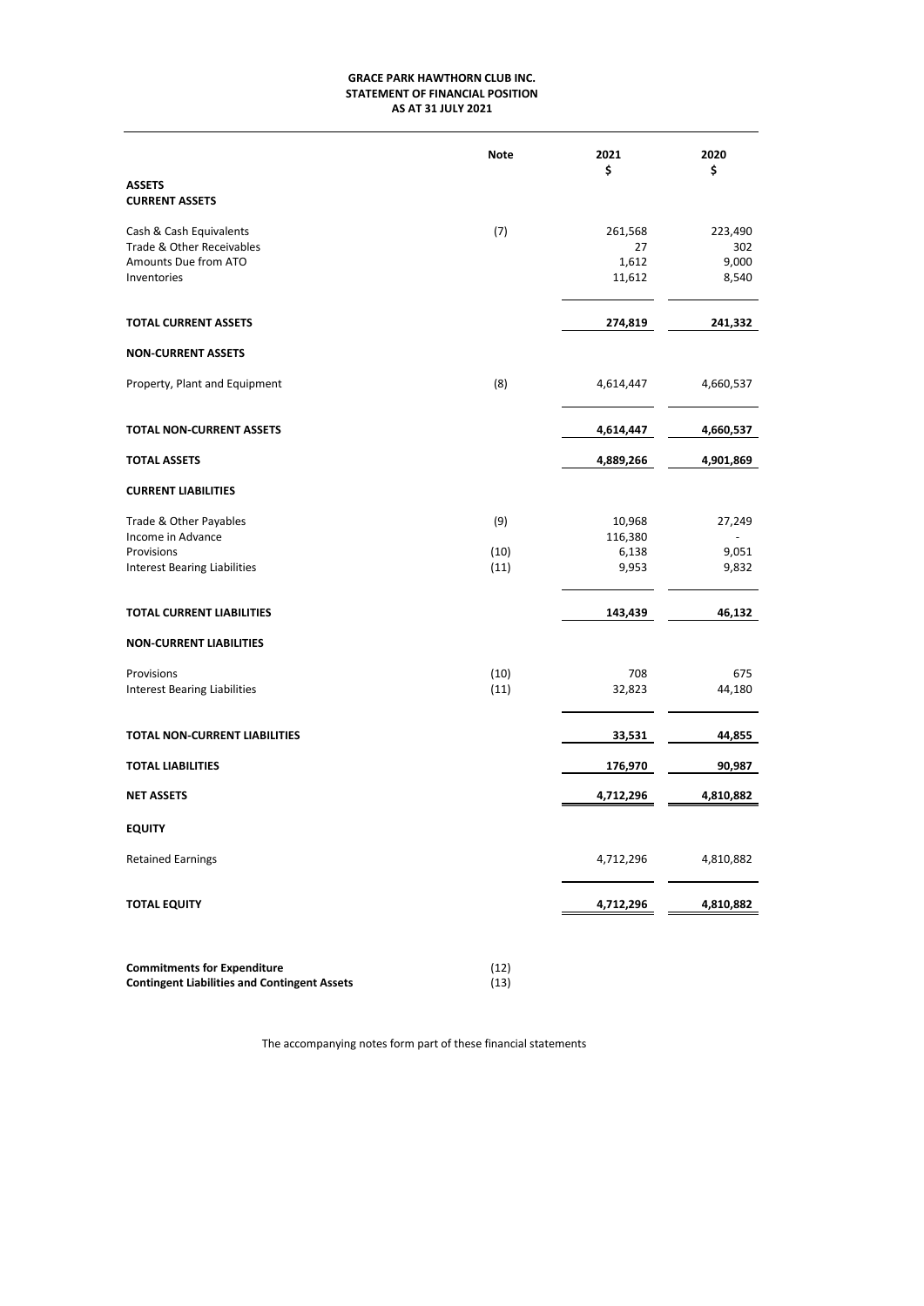# **AS AT 31 JULY 2021 GRACE PARK HAWTHORN CLUB INC. STATEMENT OF FINANCIAL POSITION**

|                                                                                             | <b>Note</b> | 2021<br>\$                       | 2020<br>\$                       |
|---------------------------------------------------------------------------------------------|-------------|----------------------------------|----------------------------------|
| <b>ASSETS</b><br><b>CURRENT ASSETS</b>                                                      |             |                                  |                                  |
| Cash & Cash Equivalents<br>Trade & Other Receivables<br>Amounts Due from ATO<br>Inventories | (7)         | 261,568<br>27<br>1,612<br>11,612 | 223,490<br>302<br>9,000<br>8,540 |
| <b>TOTAL CURRENT ASSETS</b>                                                                 |             | 274,819                          | 241,332                          |
| <b>NON-CURRENT ASSETS</b>                                                                   |             |                                  |                                  |
| Property, Plant and Equipment                                                               | (8)         | 4,614,447                        | 4,660,537                        |
| <b>TOTAL NON-CURRENT ASSETS</b>                                                             |             | 4,614,447                        | 4,660,537                        |
| <b>TOTAL ASSETS</b>                                                                         |             | 4,889,266                        | 4,901,869                        |
| <b>CURRENT LIABILITIES</b>                                                                  |             |                                  |                                  |
| Trade & Other Payables<br>Income in Advance                                                 | (9)         | 10,968<br>116,380                | 27,249                           |
| Provisions                                                                                  | (10)        | 6,138                            | 9,051                            |
| Interest Bearing Liabilities                                                                | (11)        | 9,953                            | 9,832                            |
| TOTAL CURRENT LIABILITIES                                                                   |             | 143,439                          | 46,132                           |
| <b>NON-CURRENT LIABILITIES</b>                                                              |             |                                  |                                  |
| Provisions                                                                                  | (10)        | 708                              | 675                              |
| <b>Interest Bearing Liabilities</b>                                                         | (11)        | 32,823                           | 44,180                           |
| TOTAL NON-CURRENT LIABILITIES                                                               |             | 33,531                           | 44,855                           |
| <b>TOTAL LIABILITIES</b>                                                                    |             | 176,970                          | 90,987                           |
| <b>NET ASSETS</b>                                                                           |             | 4,712,296                        | 4,810,882                        |
| <b>EQUITY</b>                                                                               |             |                                  |                                  |
| <b>Retained Earnings</b>                                                                    |             | 4,712,296                        | 4,810,882                        |
| <b>TOTAL EQUITY</b>                                                                         |             | 4,712,296                        | 4,810,882                        |
| Commitments for Expenditure                                                                 | (12)        |                                  |                                  |

**Commitments for Expenditure** (12)<br>**Contingent Liabilities and Contingent Assets** (13) **Contingent Liabilities and Contingent Assets** 

The accompanying notes form part of these financial statements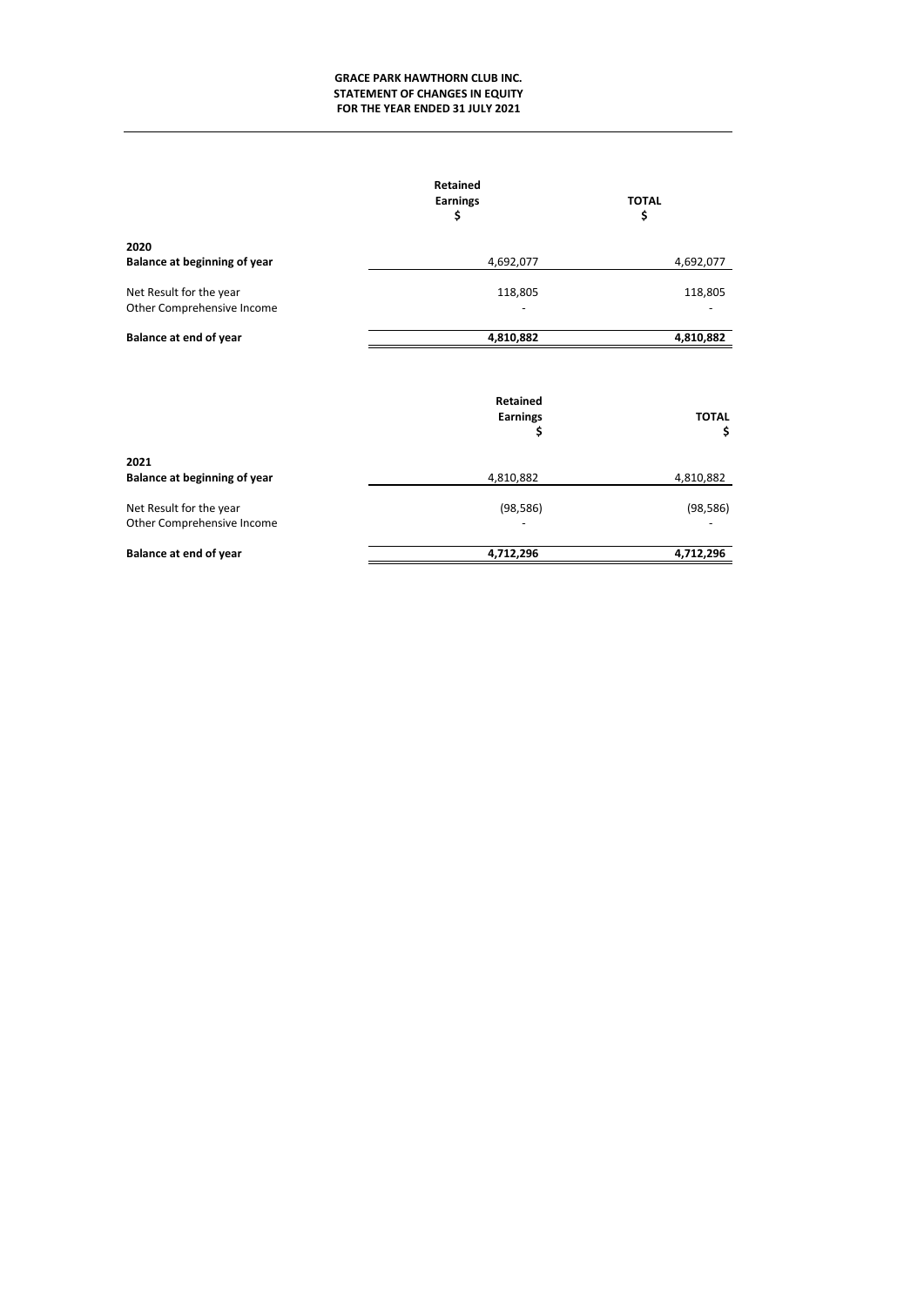# **GRACE PARK HAWTHORN CLUB INC. STATEMENT OF CHANGES IN EQUITY FOR THE YEAR ENDED 31 JULY 2021**

|                                                       | Retained<br><b>Earnings</b><br>\$ | <b>TOTAL</b><br>\$ |  |
|-------------------------------------------------------|-----------------------------------|--------------------|--|
| 2020<br>Balance at beginning of year                  | 4,692,077                         | 4,692,077          |  |
| Net Result for the year<br>Other Comprehensive Income | 118,805                           | 118,805            |  |
| <b>Balance at end of year</b>                         | 4,810,882                         | 4,810,882          |  |
|                                                       | Retained<br><b>Earnings</b><br>\$ | <b>TOTAL</b><br>\$ |  |
| 2021<br>Balance at beginning of year                  | 4,810,882                         | 4,810,882          |  |
| Net Result for the year<br>Other Comprehensive Income | (98, 586)                         | (98, 586)          |  |
| Balance at end of year                                | 4,712,296                         | 4,712,296          |  |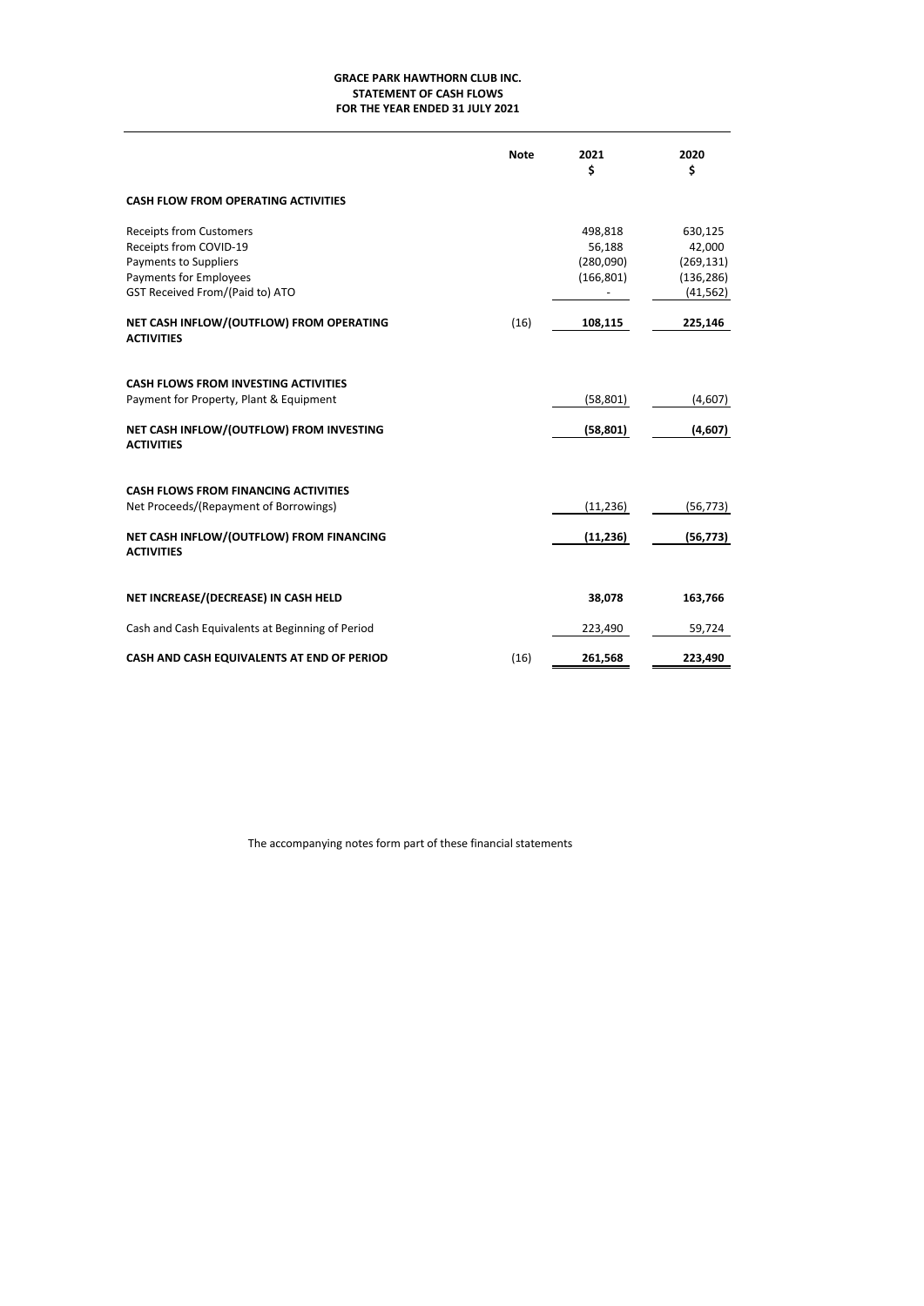# **GRACE PARK HAWTHORN CLUB INC. STATEMENT OF CASH FLOWS FOR THE YEAR ENDED 31 JULY 2021**

|                                                                                                                                                         | <b>Note</b> | 2021<br>\$                                   | 2020<br>\$                                                 |
|---------------------------------------------------------------------------------------------------------------------------------------------------------|-------------|----------------------------------------------|------------------------------------------------------------|
| <b>CASH FLOW FROM OPERATING ACTIVITIES</b>                                                                                                              |             |                                              |                                                            |
| <b>Receipts from Customers</b><br>Receipts from COVID-19<br>Payments to Suppliers<br><b>Payments for Employees</b><br>GST Received From/(Paid to) ATO   |             | 498,818<br>56,188<br>(280,090)<br>(166, 801) | 630,125<br>42,000<br>(269, 131)<br>(136, 286)<br>(41, 562) |
| NET CASH INFLOW/(OUTFLOW) FROM OPERATING<br><b>ACTIVITIES</b>                                                                                           | (16)        | 108,115                                      | 225,146                                                    |
| <b>CASH FLOWS FROM INVESTING ACTIVITIES</b><br>Payment for Property, Plant & Equipment<br>NET CASH INFLOW/(OUTFLOW) FROM INVESTING<br><b>ACTIVITIES</b> |             | (58, 801)<br>(58, 801)                       | (4,607)<br>(4,607)                                         |
| <b>CASH FLOWS FROM FINANCING ACTIVITIES</b><br>Net Proceeds/(Repayment of Borrowings)<br>NET CASH INFLOW/(OUTFLOW) FROM FINANCING<br><b>ACTIVITIES</b>  |             | (11, 236)<br>(11, 236)                       | (56, 773)<br>(56, 773)                                     |
| NET INCREASE/(DECREASE) IN CASH HELD                                                                                                                    |             | 38,078                                       | 163,766                                                    |
| Cash and Cash Equivalents at Beginning of Period<br>CASH AND CASH EQUIVALENTS AT END OF PERIOD                                                          | (16)        | 223,490<br>261,568                           | 59,724<br>223,490                                          |

The accompanying notes form part of these financial statements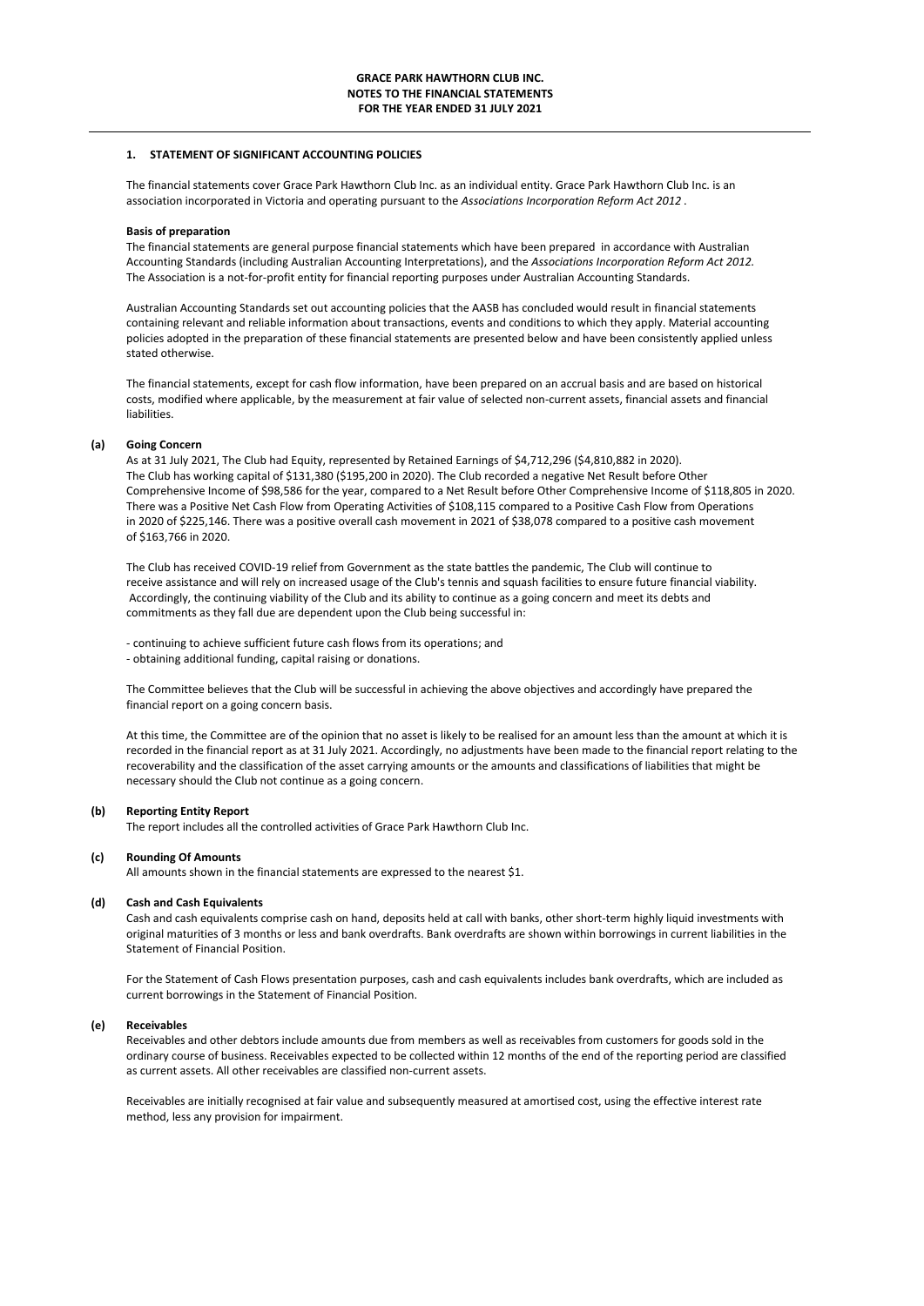### **1. STATEMENT OF SIGNIFICANT ACCOUNTING POLICIES**

The financial statements cover Grace Park Hawthorn Club Inc. as an individual entity. Grace Park Hawthorn Club Inc. is an association incorporated in Victoria and operating pursuant to the *Associations Incorporation Reform Act 2012* .

### **Basis of preparation**

The financial statements are general purpose financial statements which have been prepared in accordance with Australian Accounting Standards (including Australian Accounting Interpretations), and the *Associations Incorporation Reform Act 2012.* The Association is a not-for-profit entity for financial reporting purposes under Australian Accounting Standards.

Australian Accounting Standards set out accounting policies that the AASB has concluded would result in financial statements containing relevant and reliable information about transactions, events and conditions to which they apply. Material accounting policies adopted in the preparation of these financial statements are presented below and have been consistently applied unless stated otherwise.

The financial statements, except for cash flow information, have been prepared on an accrual basis and are based on historical costs, modified where applicable, by the measurement at fair value of selected non-current assets, financial assets and financial liabilities.

#### **(a) Going Concern**

As at 31 July 2021, The Club had Equity, represented by Retained Earnings of \$4,712,296 (\$4,810,882 in 2020). The Club has working capital of \$131,380 (\$195,200 in 2020). The Club recorded a negative Net Result before Other Comprehensive Income of \$98,586 for the year, compared to a Net Result before Other Comprehensive Income of \$118,805 in 2020. There was a Positive Net Cash Flow from Operating Activities of \$108,115 compared to a Positive Cash Flow from Operations in 2020 of \$225,146. There was a positive overall cash movement in 2021 of \$38,078 compared to a positive cash movement of \$163,766 in 2020.

The Club has received COVID-19 relief from Government as the state battles the pandemic, The Club will continue to receive assistance and will rely on increased usage of the Club's tennis and squash facilities to ensure future financial viability. Accordingly, the continuing viability of the Club and its ability to continue as a going concern and meet its debts and commitments as they fall due are dependent upon the Club being successful in:

- continuing to achieve sufficient future cash flows from its operations; and

- obtaining additional funding, capital raising or donations.

The Committee believes that the Club will be successful in achieving the above objectives and accordingly have prepared the financial report on a going concern basis.

At this time, the Committee are of the opinion that no asset is likely to be realised for an amount less than the amount at which it is recorded in the financial report as at 31 July 2021. Accordingly, no adjustments have been made to the financial report relating to the recoverability and the classification of the asset carrying amounts or the amounts and classifications of liabilities that might be necessary should the Club not continue as a going concern.

#### **(b) Reporting Entity Report**

The report includes all the controlled activities of Grace Park Hawthorn Club Inc.

## **(c) Rounding Of Amounts**

All amounts shown in the financial statements are expressed to the nearest \$1.

### **(d) Cash and Cash Equivalents**

Cash and cash equivalents comprise cash on hand, deposits held at call with banks, other short-term highly liquid investments with original maturities of 3 months or less and bank overdrafts. Bank overdrafts are shown within borrowings in current liabilities in the Statement of Financial Position.

For the Statement of Cash Flows presentation purposes, cash and cash equivalents includes bank overdrafts, which are included as current borrowings in the Statement of Financial Position.

#### **(e) Receivables**

Receivables and other debtors include amounts due from members as well as receivables from customers for goods sold in the ordinary course of business. Receivables expected to be collected within 12 months of the end of the reporting period are classified as current assets. All other receivables are classified non-current assets.

Receivables are initially recognised at fair value and subsequently measured at amortised cost, using the effective interest rate method, less any provision for impairment.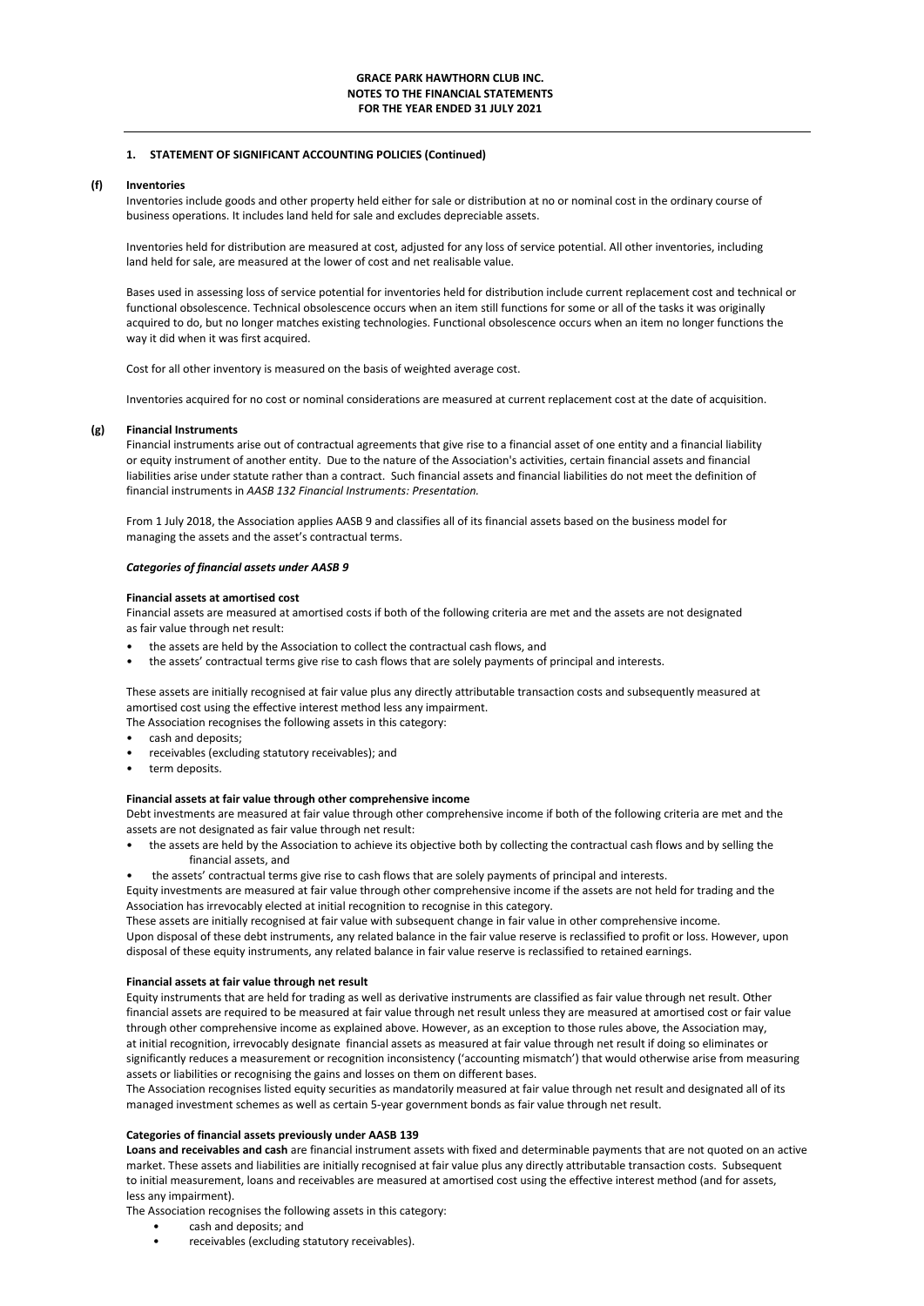#### **(f) Inventories**

Inventories include goods and other property held either for sale or distribution at no or nominal cost in the ordinary course of business operations. It includes land held for sale and excludes depreciable assets.

Inventories held for distribution are measured at cost, adjusted for any loss of service potential. All other inventories, including land held for sale, are measured at the lower of cost and net realisable value.

Bases used in assessing loss of service potential for inventories held for distribution include current replacement cost and technical or functional obsolescence. Technical obsolescence occurs when an item still functions for some or all of the tasks it was originally acquired to do, but no longer matches existing technologies. Functional obsolescence occurs when an item no longer functions the way it did when it was first acquired.

Cost for all other inventory is measured on the basis of weighted average cost.

Inventories acquired for no cost or nominal considerations are measured at current replacement cost at the date of acquisition.

### **(g) Financial Instruments**

Financial instruments arise out of contractual agreements that give rise to a financial asset of one entity and a financial liability or equity instrument of another entity. Due to the nature of the Association's activities, certain financial assets and financial liabilities arise under statute rather than a contract. Such financial assets and financial liabilities do not meet the definition of financial instruments in *AASB 132 Financial Instruments: Presentation.* 

From 1 July 2018, the Association applies AASB 9 and classifies all of its financial assets based on the business model for managing the assets and the asset's contractual terms.

## *Categories of financial assets under AASB 9*

#### **Financial assets at amortised cost**

Financial assets are measured at amortised costs if both of the following criteria are met and the assets are not designated as fair value through net result:

- the assets are held by the Association to collect the contractual cash flows, and
- the assets' contractual terms give rise to cash flows that are solely payments of principal and interests.

These assets are initially recognised at fair value plus any directly attributable transaction costs and subsequently measured at amortised cost using the effective interest method less any impairment. The Association recognises the following assets in this category:

- cash and deposits;
- receivables (excluding statutory receivables); and
- term deposits.

#### **Financial assets at fair value through other comprehensive income**

Debt investments are measured at fair value through other comprehensive income if both of the following criteria are met and the assets are not designated as fair value through net result:

- the assets are held by the Association to achieve its objective both by collecting the contractual cash flows and by selling the financial assets, and
- the assets' contractual terms give rise to cash flows that are solely payments of principal and interests.

Equity investments are measured at fair value through other comprehensive income if the assets are not held for trading and the Association has irrevocably elected at initial recognition to recognise in this category.

These assets are initially recognised at fair value with subsequent change in fair value in other comprehensive income. Upon disposal of these debt instruments, any related balance in the fair value reserve is reclassified to profit or loss. However, upon disposal of these equity instruments, any related balance in fair value reserve is reclassified to retained earnings.

#### **Financial assets at fair value through net result**

Equity instruments that are held for trading as well as derivative instruments are classified as fair value through net result. Other financial assets are required to be measured at fair value through net result unless they are measured at amortised cost or fair value through other comprehensive income as explained above. However, as an exception to those rules above, the Association may, at initial recognition, irrevocably designate financial assets as measured at fair value through net result if doing so eliminates or significantly reduces a measurement or recognition inconsistency ('accounting mismatch') that would otherwise arise from measuring assets or liabilities or recognising the gains and losses on them on different bases.

The Association recognises listed equity securities as mandatorily measured at fair value through net result and designated all of its managed investment schemes as well as certain 5-year government bonds as fair value through net result.

#### **Categories of financial assets previously under AASB 139**

**Loans and receivables and cash** are financial instrument assets with fixed and determinable payments that are not quoted on an active market. These assets and liabilities are initially recognised at fair value plus any directly attributable transaction costs. Subsequent to initial measurement, loans and receivables are measured at amortised cost using the effective interest method (and for assets, less any impairment).

The Association recognises the following assets in this category:

- cash and deposits; and
- receivables (excluding statutory receivables).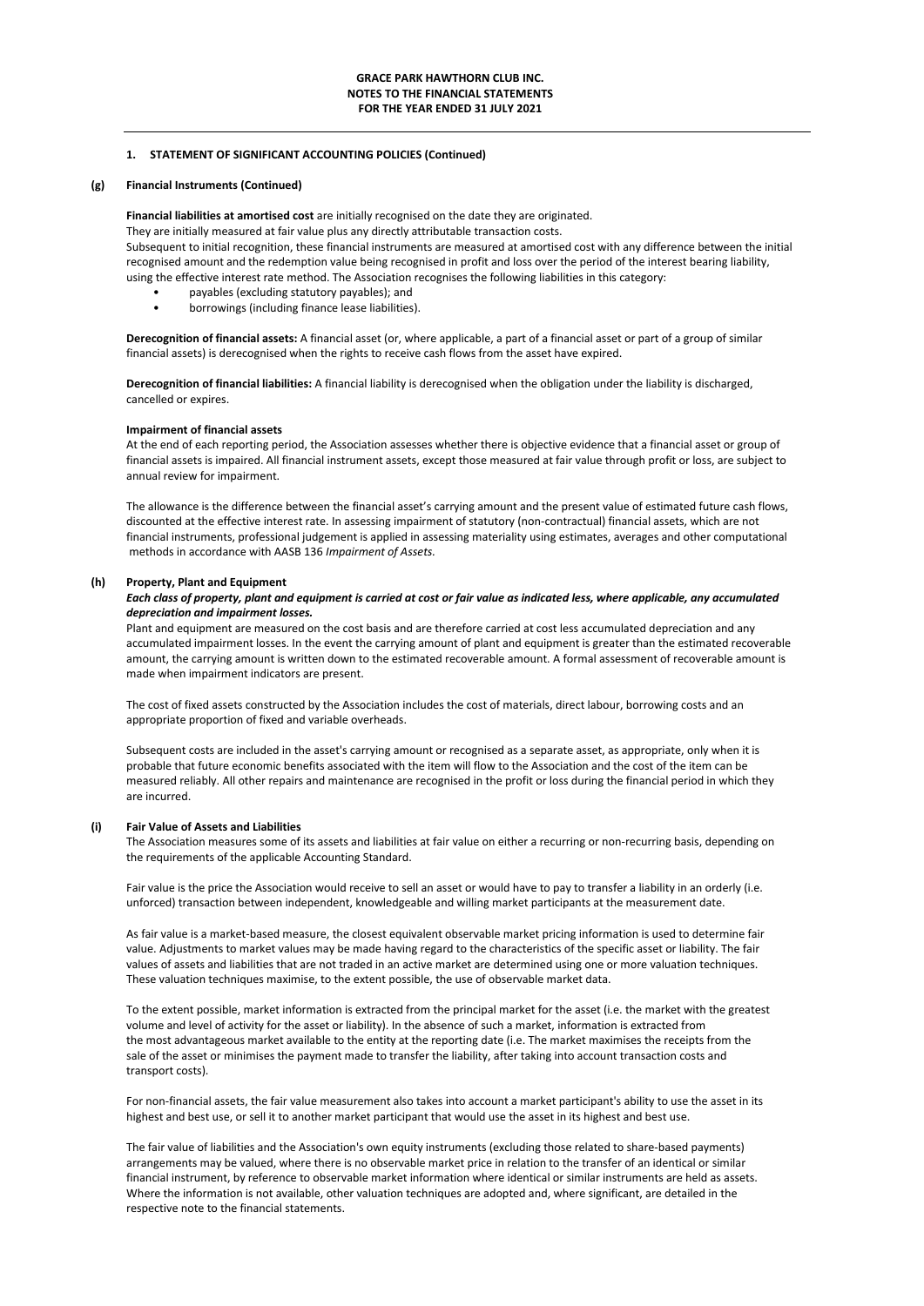### **(g) Financial Instruments (Continued)**

**Financial liabilities at amortised cost** are initially recognised on the date they are originated.

They are initially measured at fair value plus any directly attributable transaction costs.

Subsequent to initial recognition, these financial instruments are measured at amortised cost with any difference between the initial recognised amount and the redemption value being recognised in profit and loss over the period of the interest bearing liability, using the effective interest rate method. The Association recognises the following liabilities in this category:

- payables (excluding statutory payables); and
- borrowings (including finance lease liabilities).

**Derecognition of financial assets:** A financial asset (or, where applicable, a part of a financial asset or part of a group of similar financial assets) is derecognised when the rights to receive cash flows from the asset have expired.

**Derecognition of financial liabilities:** A financial liability is derecognised when the obligation under the liability is discharged, cancelled or expires.

## **Impairment of financial assets**

At the end of each reporting period, the Association assesses whether there is objective evidence that a financial asset or group of financial assets is impaired. All financial instrument assets, except those measured at fair value through profit or loss, are subject to annual review for impairment.

The allowance is the difference between the financial asset's carrying amount and the present value of estimated future cash flows, discounted at the effective interest rate. In assessing impairment of statutory (non-contractual) financial assets, which are not financial instruments, professional judgement is applied in assessing materiality using estimates, averages and other computational methods in accordance with AASB 136 *Impairment of Assets.*

### **(h) Property, Plant and Equipment**

### *Each class of property, plant and equipment is carried at cost or fair value as indicated less, where applicable, any accumulated depreciation and impairment losses.*

Plant and equipment are measured on the cost basis and are therefore carried at cost less accumulated depreciation and any accumulated impairment losses. In the event the carrying amount of plant and equipment is greater than the estimated recoverable amount, the carrying amount is written down to the estimated recoverable amount. A formal assessment of recoverable amount is made when impairment indicators are present.

The cost of fixed assets constructed by the Association includes the cost of materials, direct labour, borrowing costs and an appropriate proportion of fixed and variable overheads.

Subsequent costs are included in the asset's carrying amount or recognised as a separate asset, as appropriate, only when it is probable that future economic benefits associated with the item will flow to the Association and the cost of the item can be measured reliably. All other repairs and maintenance are recognised in the profit or loss during the financial period in which they are incurred.

### **(i) Fair Value of Assets and Liabilities**

The Association measures some of its assets and liabilities at fair value on either a recurring or non-recurring basis, depending on the requirements of the applicable Accounting Standard.

Fair value is the price the Association would receive to sell an asset or would have to pay to transfer a liability in an orderly (i.e. unforced) transaction between independent, knowledgeable and willing market participants at the measurement date.

As fair value is a market-based measure, the closest equivalent observable market pricing information is used to determine fair value. Adjustments to market values may be made having regard to the characteristics of the specific asset or liability. The fair values of assets and liabilities that are not traded in an active market are determined using one or more valuation techniques. These valuation techniques maximise, to the extent possible, the use of observable market data.

To the extent possible, market information is extracted from the principal market for the asset (i.e. the market with the greatest volume and level of activity for the asset or liability). In the absence of such a market, information is extracted from the most advantageous market available to the entity at the reporting date (i.e. The market maximises the receipts from the sale of the asset or minimises the payment made to transfer the liability, after taking into account transaction costs and transport costs).

For non-financial assets, the fair value measurement also takes into account a market participant's ability to use the asset in its highest and best use, or sell it to another market participant that would use the asset in its highest and best use.

The fair value of liabilities and the Association's own equity instruments (excluding those related to share-based payments) arrangements may be valued, where there is no observable market price in relation to the transfer of an identical or similar financial instrument, by reference to observable market information where identical or similar instruments are held as assets. Where the information is not available, other valuation techniques are adopted and, where significant, are detailed in the respective note to the financial statements.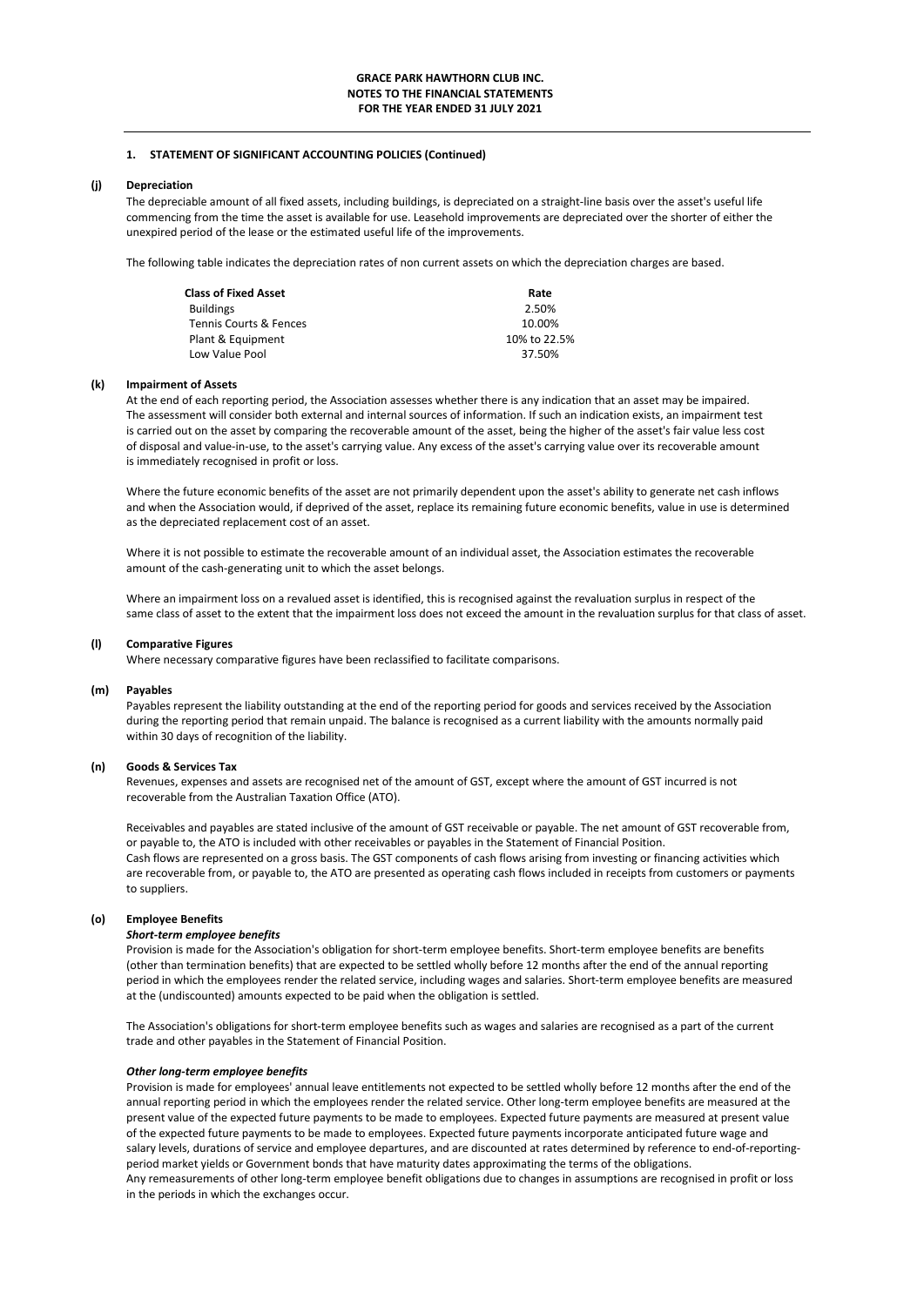#### **(j) Depreciation**

The depreciable amount of all fixed assets, including buildings, is depreciated on a straight-line basis over the asset's useful life commencing from the time the asset is available for use. Leasehold improvements are depreciated over the shorter of either the unexpired period of the lease or the estimated useful life of the improvements.

The following table indicates the depreciation rates of non current assets on which the depreciation charges are based.

| <b>Class of Fixed Asset</b> | Rate         |
|-----------------------------|--------------|
| <b>Buildings</b>            | 2.50%        |
| Tennis Courts & Fences      | 10.00%       |
| Plant & Equipment           | 10% to 22.5% |
| Low Value Pool              | 37.50%       |

#### **(k) Impairment of Assets**

At the end of each reporting period, the Association assesses whether there is any indication that an asset may be impaired. The assessment will consider both external and internal sources of information. If such an indication exists, an impairment test is carried out on the asset by comparing the recoverable amount of the asset, being the higher of the asset's fair value less cost of disposal and value-in-use, to the asset's carrying value. Any excess of the asset's carrying value over its recoverable amount is immediately recognised in profit or loss.

Where the future economic benefits of the asset are not primarily dependent upon the asset's ability to generate net cash inflows and when the Association would, if deprived of the asset, replace its remaining future economic benefits, value in use is determined as the depreciated replacement cost of an asset.

Where it is not possible to estimate the recoverable amount of an individual asset, the Association estimates the recoverable amount of the cash-generating unit to which the asset belongs.

Where an impairment loss on a revalued asset is identified, this is recognised against the revaluation surplus in respect of the same class of asset to the extent that the impairment loss does not exceed the amount in the revaluation surplus for that class of asset.

### **(l) Comparative Figures**

Where necessary comparative figures have been reclassified to facilitate comparisons.

### **(m) Payables**

Payables represent the liability outstanding at the end of the reporting period for goods and services received by the Association during the reporting period that remain unpaid. The balance is recognised as a current liability with the amounts normally paid within 30 days of recognition of the liability.

#### **(n) Goods & Services Tax**

Revenues, expenses and assets are recognised net of the amount of GST, except where the amount of GST incurred is not recoverable from the Australian Taxation Office (ATO).

Receivables and payables are stated inclusive of the amount of GST receivable or payable. The net amount of GST recoverable from, or payable to, the ATO is included with other receivables or payables in the Statement of Financial Position. Cash flows are represented on a gross basis. The GST components of cash flows arising from investing or financing activities which are recoverable from, or payable to, the ATO are presented as operating cash flows included in receipts from customers or payments to suppliers.

## **(o) Employee Benefits**

#### *Short-term employee benefits*

Provision is made for the Association's obligation for short-term employee benefits. Short-term employee benefits are benefits (other than termination benefits) that are expected to be settled wholly before 12 months after the end of the annual reporting period in which the employees render the related service, including wages and salaries. Short-term employee benefits are measured at the (undiscounted) amounts expected to be paid when the obligation is settled.

The Association's obligations for short-term employee benefits such as wages and salaries are recognised as a part of the current trade and other payables in the Statement of Financial Position.

#### *Other long-term employee benefits*

Provision is made for employees' annual leave entitlements not expected to be settled wholly before 12 months after the end of the annual reporting period in which the employees render the related service. Other long-term employee benefits are measured at the present value of the expected future payments to be made to employees. Expected future payments are measured at present value of the expected future payments to be made to employees. Expected future payments incorporate anticipated future wage and salary levels, durations of service and employee departures, and are discounted at rates determined by reference to end-of-reportingperiod market yields or Government bonds that have maturity dates approximating the terms of the obligations. Any remeasurements of other long-term employee benefit obligations due to changes in assumptions are recognised in profit or loss in the periods in which the exchanges occur.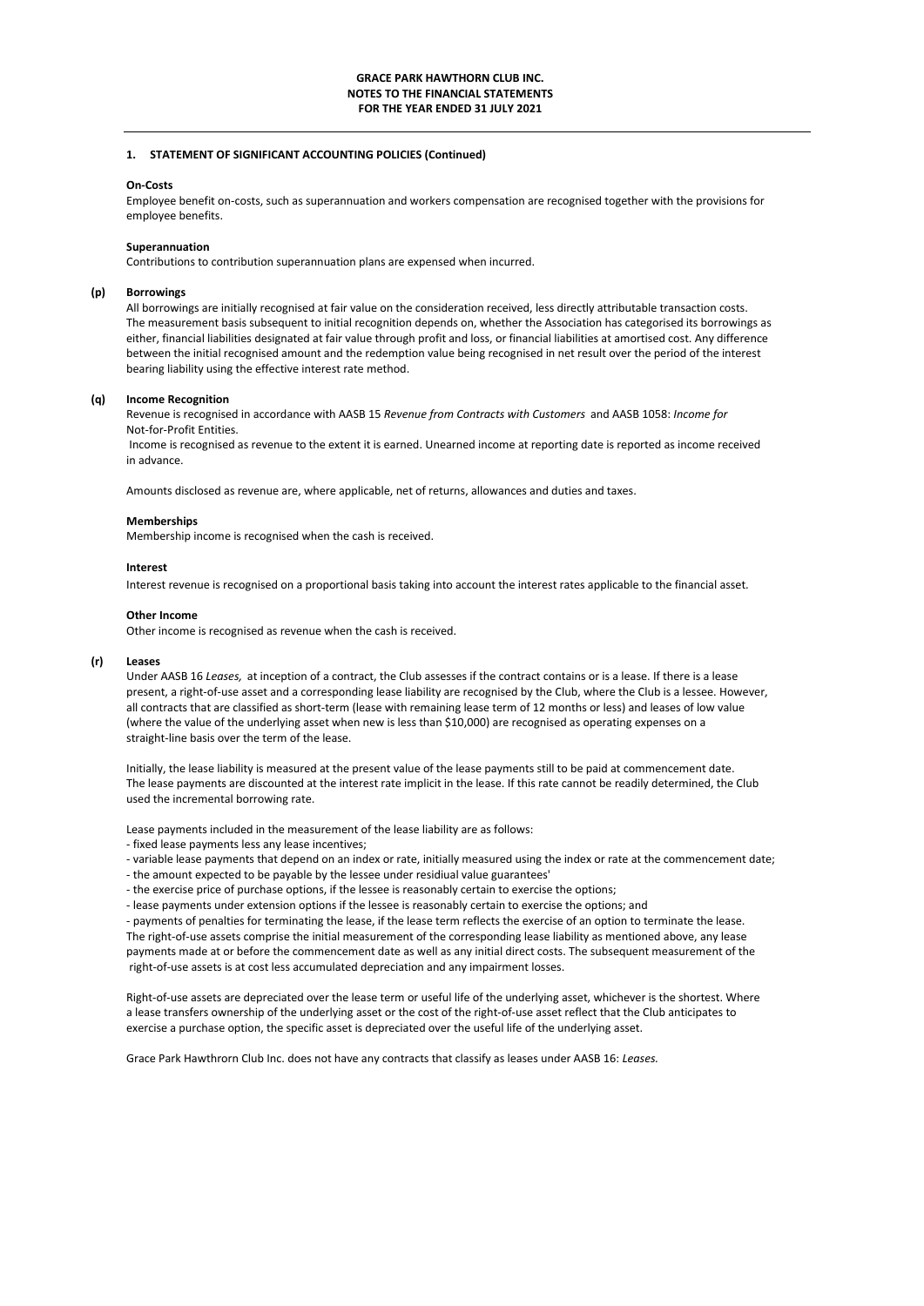#### **On-Costs**

Employee benefit on-costs, such as superannuation and workers compensation are recognised together with the provisions for employee benefits.

### **Superannuation**

Contributions to contribution superannuation plans are expensed when incurred.

#### **(p) Borrowings**

All borrowings are initially recognised at fair value on the consideration received, less directly attributable transaction costs. The measurement basis subsequent to initial recognition depends on, whether the Association has categorised its borrowings as either, financial liabilities designated at fair value through profit and loss, or financial liabilities at amortised cost. Any difference between the initial recognised amount and the redemption value being recognised in net result over the period of the interest bearing liability using the effective interest rate method.

### **(q) Income Recognition**

Revenue is recognised in accordance with AASB 15 *Revenue from Contracts with Customers* and AASB 1058: *Income for*  Not-for-Profit Entities.

 Income is recognised as revenue to the extent it is earned. Unearned income at reporting date is reported as income received in advance.

Amounts disclosed as revenue are, where applicable, net of returns, allowances and duties and taxes.

#### **Memberships**

Membership income is recognised when the cash is received.

#### **Interest**

Interest revenue is recognised on a proportional basis taking into account the interest rates applicable to the financial asset.

#### **Other Income**

Other income is recognised as revenue when the cash is received.

#### **(r) Leases**

Under AASB 16 *Leases,* at inception of a contract, the Club assesses if the contract contains or is a lease. If there is a lease present, a right-of-use asset and a corresponding lease liability are recognised by the Club, where the Club is a lessee. However, all contracts that are classified as short-term (lease with remaining lease term of 12 months or less) and leases of low value (where the value of the underlying asset when new is less than \$10,000) are recognised as operating expenses on a straight-line basis over the term of the lease.

Initially, the lease liability is measured at the present value of the lease payments still to be paid at commencement date. The lease payments are discounted at the interest rate implicit in the lease. If this rate cannot be readily determined, the Club used the incremental borrowing rate.

Lease payments included in the measurement of the lease liability are as follows:

- fixed lease payments less any lease incentives;
- variable lease payments that depend on an index or rate, initially measured using the index or rate at the commencement date;
- the amount expected to be payable by the lessee under residiual value guarantees'
- the exercise price of purchase options, if the lessee is reasonably certain to exercise the options;
- lease payments under extension options if the lessee is reasonably certain to exercise the options; and

The right-of-use assets comprise the initial measurement of the corresponding lease liability as mentioned above, any lease payments made at or before the commencement date as well as any initial direct costs. The subsequent measurement of the right-of-use assets is at cost less accumulated depreciation and any impairment losses. - payments of penalties for terminating the lease, if the lease term reflects the exercise of an option to terminate the lease.

Right-of-use assets are depreciated over the lease term or useful life of the underlying asset, whichever is the shortest. Where a lease transfers ownership of the underlying asset or the cost of the right-of-use asset reflect that the Club anticipates to exercise a purchase option, the specific asset is depreciated over the useful life of the underlying asset.

Grace Park Hawthrorn Club Inc. does not have any contracts that classify as leases under AASB 16: *Leases.*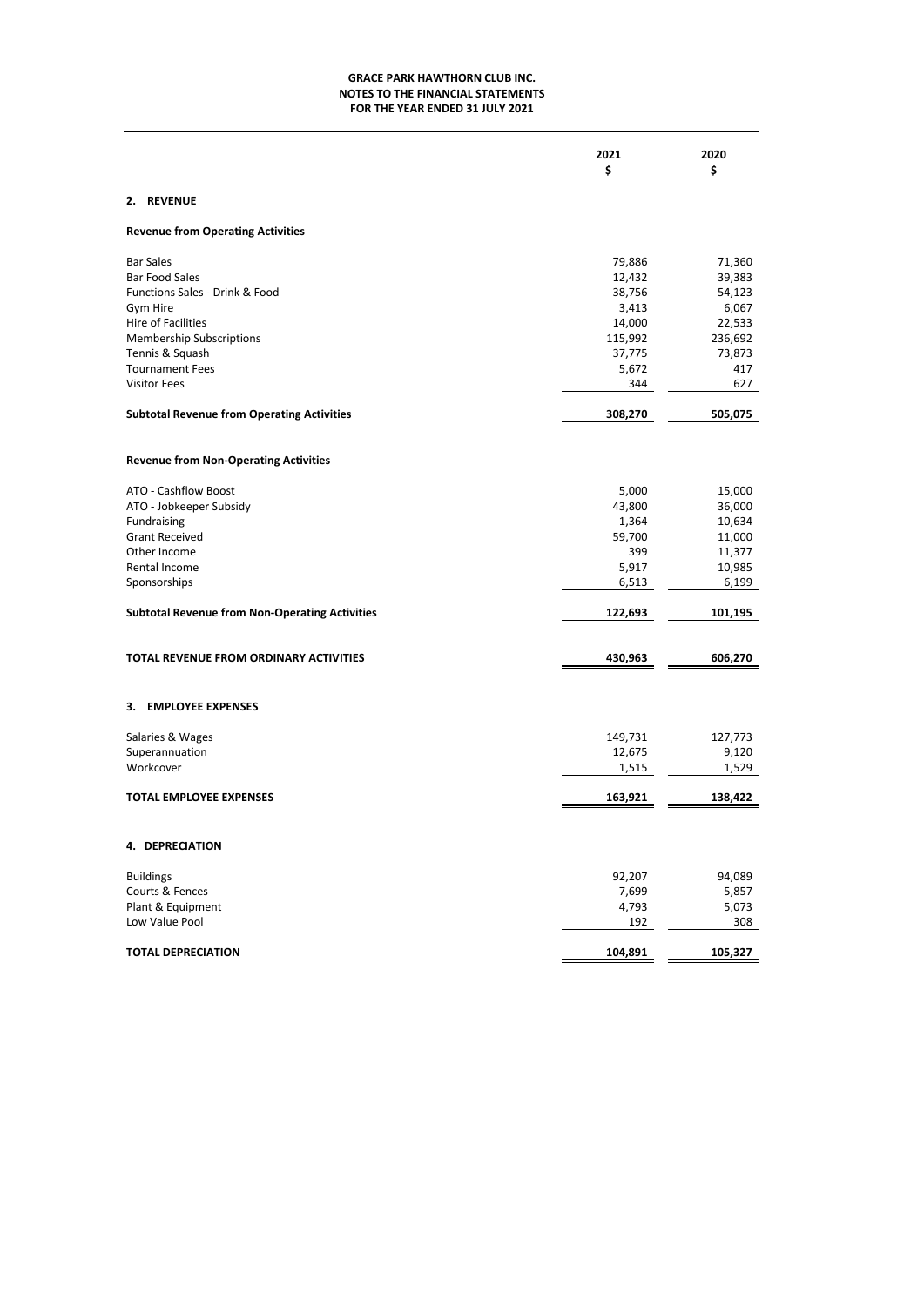# **NOTES TO THE FINANCIAL STATEMENTS FOR THE YEAR ENDED 31 JULY 2021 GRACE PARK HAWTHORN CLUB INC.**

|                                                       | 2021<br>\$ | 2020<br>\$ |
|-------------------------------------------------------|------------|------------|
| 2. REVENUE                                            |            |            |
| <b>Revenue from Operating Activities</b>              |            |            |
| <b>Bar Sales</b>                                      | 79,886     | 71,360     |
| <b>Bar Food Sales</b>                                 | 12,432     | 39,383     |
| Functions Sales - Drink & Food                        | 38,756     | 54,123     |
| Gym Hire                                              | 3,413      | 6,067      |
| Hire of Facilities                                    | 14,000     | 22,533     |
| <b>Membership Subscriptions</b>                       | 115,992    | 236,692    |
| Tennis & Squash                                       | 37,775     | 73,873     |
| <b>Tournament Fees</b>                                | 5,672      | 417        |
| <b>Visitor Fees</b>                                   | 344        | 627        |
| <b>Subtotal Revenue from Operating Activities</b>     | 308,270    | 505,075    |
| <b>Revenue from Non-Operating Activities</b>          |            |            |
| ATO - Cashflow Boost                                  | 5,000      | 15,000     |
| ATO - Jobkeeper Subsidy                               | 43,800     | 36,000     |
| Fundraising                                           | 1,364      | 10,634     |
| <b>Grant Received</b>                                 | 59,700     | 11,000     |
| Other Income                                          | 399        | 11,377     |
| Rental Income                                         | 5,917      | 10,985     |
| Sponsorships                                          | 6,513      | 6,199      |
| <b>Subtotal Revenue from Non-Operating Activities</b> | 122,693    | 101,195    |
|                                                       |            |            |
| TOTAL REVENUE FROM ORDINARY ACTIVITIES                | 430,963    | 606,270    |
|                                                       |            |            |
| 3. EMPLOYEE EXPENSES                                  |            |            |
| Salaries & Wages                                      | 149,731    | 127,773    |
| Superannuation                                        | 12,675     | 9,120      |
| Workcover                                             | 1,515      | 1,529      |
| <b>TOTAL EMPLOYEE EXPENSES</b>                        | 163,921    | 138,422    |
|                                                       |            |            |
| 4. DEPRECIATION                                       |            |            |
| <b>Buildings</b>                                      | 92,207     | 94,089     |
| Courts & Fences                                       | 7,699      | 5,857      |
| Plant & Equipment                                     | 4,793      | 5,073      |
| Low Value Pool                                        | 192        | 308        |
| <b>TOTAL DEPRECIATION</b>                             | 104,891    | 105,327    |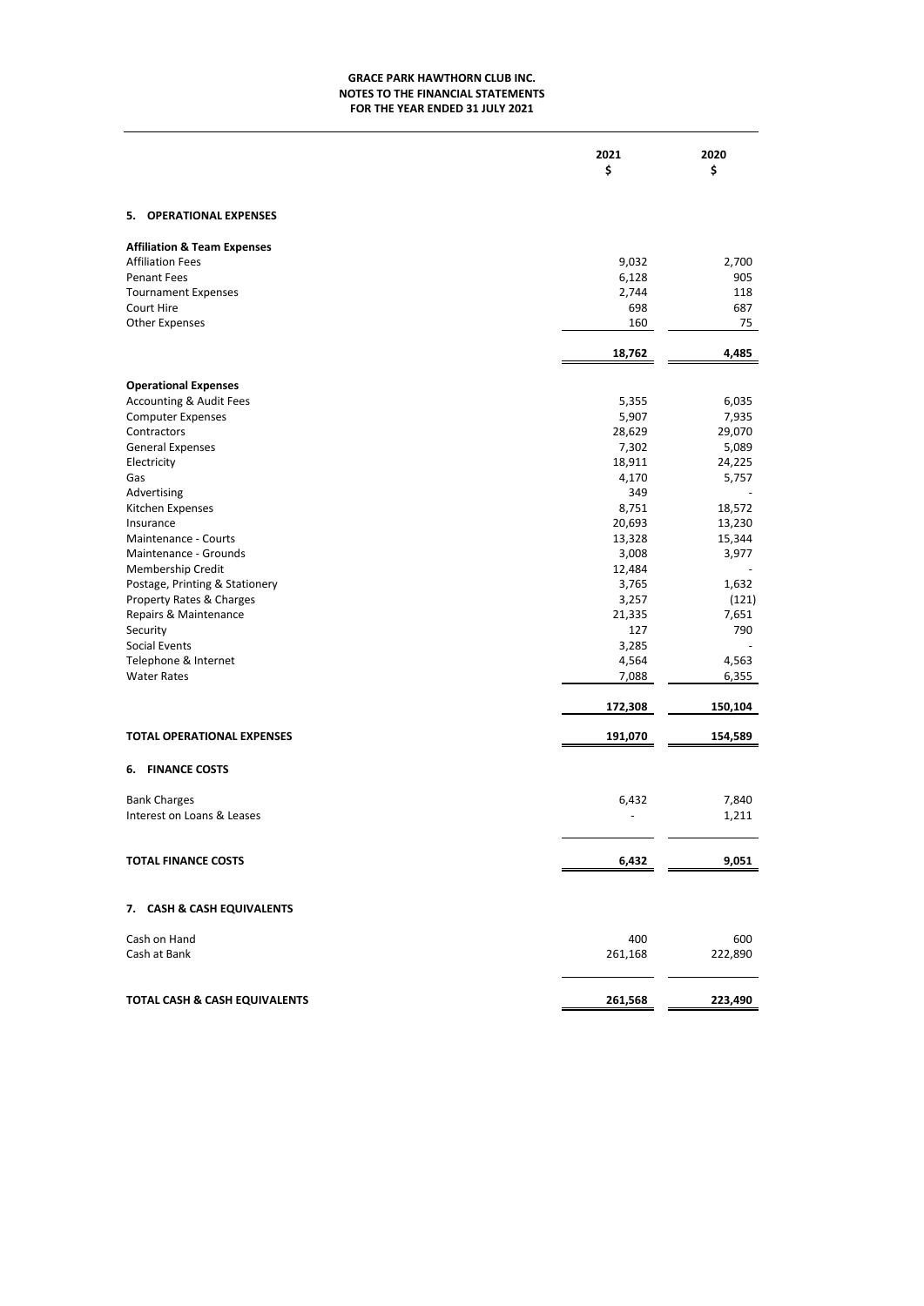# **FOR THE YEAR ENDED 31 JULY 2021 NOTES TO THE FINANCIAL STATEMENTS GRACE PARK HAWTHORN CLUB INC.**

|                         | 2021 | 2020 |
|-------------------------|------|------|
| 5. OPERATIONAL EXPENSES |      |      |

| 9,032   | 2,700   |
|---------|---------|
| 6,128   | 905     |
| 2,744   | 118     |
| 698     | 687     |
| 160     | 75      |
| 18,762  | 4,485   |
|         |         |
| 5,355   | 6,035   |
| 5,907   | 7,935   |
| 28,629  | 29,070  |
| 7,302   | 5,089   |
| 18,911  | 24,225  |
| 4,170   | 5,757   |
| 349     |         |
| 8,751   | 18,572  |
| 20,693  | 13,230  |
| 13,328  | 15,344  |
| 3,008   | 3,977   |
| 12,484  |         |
| 3,765   | 1,632   |
| 3,257   | (121)   |
| 21,335  | 7,651   |
| 127     | 790     |
| 3,285   |         |
| 4,564   | 4,563   |
| 7,088   | 6,355   |
| 172,308 | 150,104 |
| 191,070 | 154,589 |
|         |         |
|         |         |
|         | 7,840   |
|         | 1,211   |
| 6,432   | 9,051   |
|         |         |
|         |         |
| 400     | 600     |
| 261,168 | 222,890 |
| 261,568 | 223,490 |
|         | 6,432   |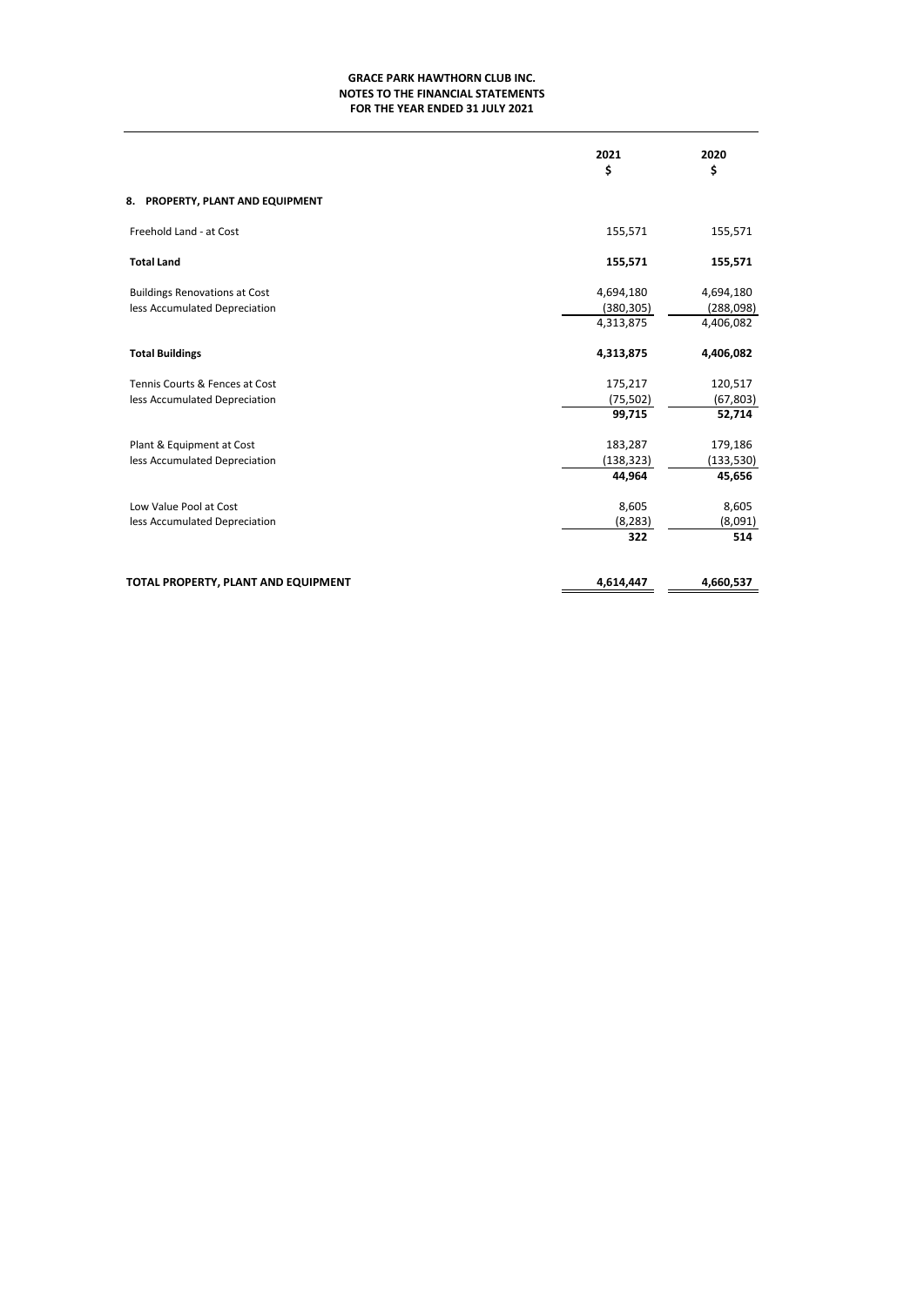# **NOTES TO THE FINANCIAL STATEMENTS GRACE PARK HAWTHORN CLUB INC. FOR THE YEAR ENDED 31 JULY 2021**

|                                                                       | 2021<br>\$              | 2020<br>\$             |
|-----------------------------------------------------------------------|-------------------------|------------------------|
| 8. PROPERTY, PLANT AND EQUIPMENT                                      |                         |                        |
| Freehold Land - at Cost                                               | 155,571                 | 155,571                |
| <b>Total Land</b>                                                     | 155,571                 | 155,571                |
| <b>Buildings Renovations at Cost</b><br>less Accumulated Depreciation | 4,694,180<br>(380, 305) | 4,694,180<br>(288,098) |
|                                                                       | 4,313,875               | 4,406,082              |
| <b>Total Buildings</b>                                                | 4,313,875               | 4,406,082              |
| Tennis Courts & Fences at Cost                                        | 175,217                 | 120,517                |
| less Accumulated Depreciation                                         | (75, 502)               | (67, 803)              |
|                                                                       | 99,715                  | 52,714                 |
| Plant & Equipment at Cost                                             | 183,287                 | 179,186                |
| less Accumulated Depreciation                                         | (138, 323)              | (133, 530)             |
|                                                                       | 44,964                  | 45,656                 |
| Low Value Pool at Cost                                                | 8,605                   | 8,605                  |
| less Accumulated Depreciation                                         | (8, 283)                | (8,091)                |
|                                                                       | 322                     | 514                    |
| TOTAL PROPERTY, PLANT AND EQUIPMENT                                   | 4,614,447               | 4,660,537              |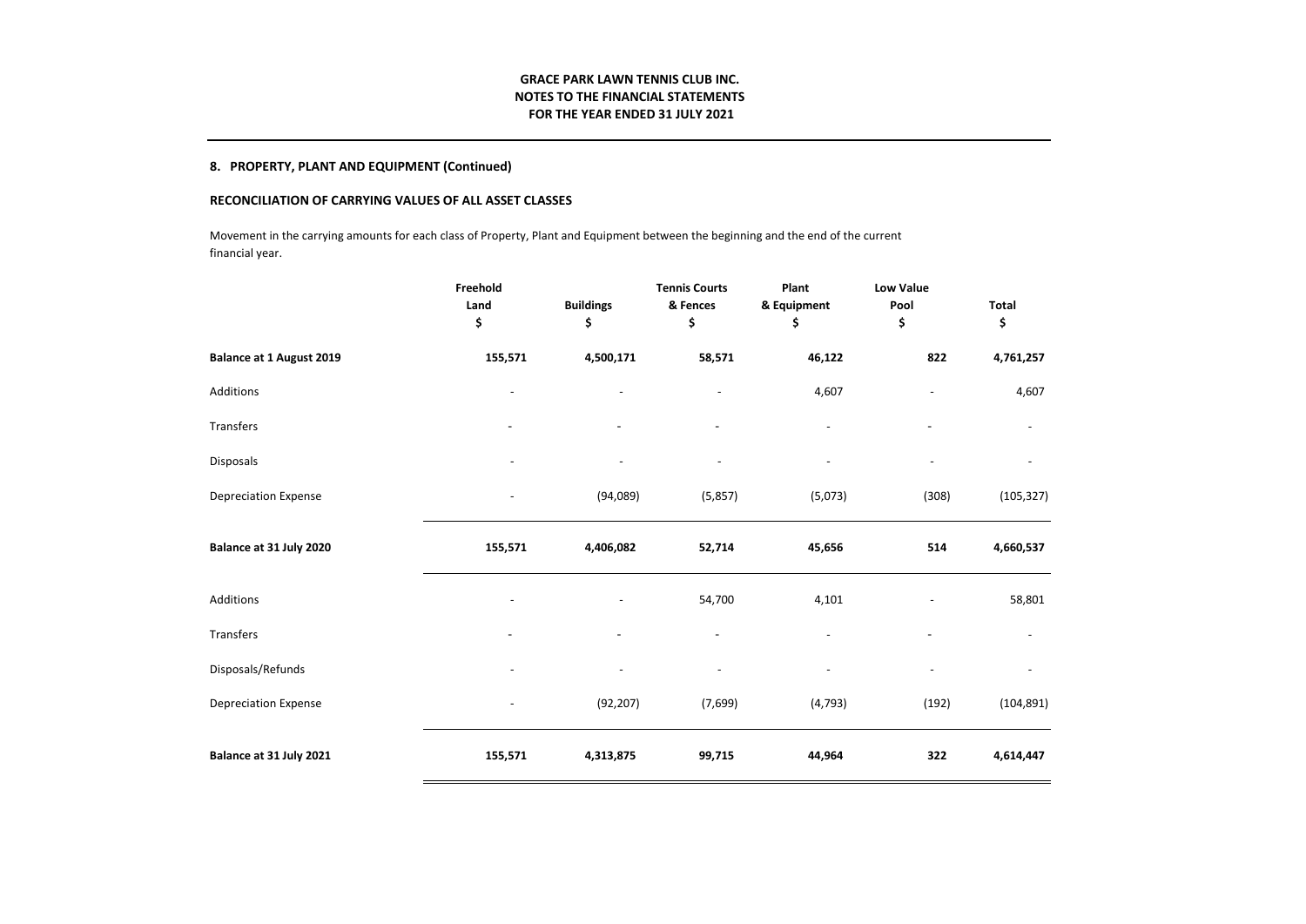# **GRACE PARK LAWN TENNIS CLUB INC. NOTES TO THE FINANCIAL STATEMENTS FOR THE YEAR ENDED 31 JULY 2021**

# **8. PROPERTY, PLANT AND EQUIPMENT (Continued)**

# **RECONCILIATION OF CARRYING VALUES OF ALL ASSET CLASSES**

Movement in the carrying amounts for each class of Property, Plant and Equipment between the beginning and the end of the current financial year.

|                                 | Freehold<br>Land<br>\$ | <b>Buildings</b><br>\$   | <b>Tennis Courts</b><br>& Fences<br>\$ | Plant<br>& Equipment<br>\$ | <b>Low Value</b><br>Pool<br>\$ | Total<br>\$ |
|---------------------------------|------------------------|--------------------------|----------------------------------------|----------------------------|--------------------------------|-------------|
| <b>Balance at 1 August 2019</b> | 155,571                | 4,500,171                | 58,571                                 | 46,122                     | 822                            | 4,761,257   |
| Additions                       |                        | $\overline{\phantom{a}}$ |                                        | 4,607                      |                                | 4,607       |
| Transfers                       |                        |                          |                                        |                            |                                |             |
| Disposals                       |                        | $\overline{a}$           |                                        | $\overline{a}$             |                                |             |
| <b>Depreciation Expense</b>     |                        | (94,089)                 | (5,857)                                | (5,073)                    | (308)                          | (105, 327)  |
| Balance at 31 July 2020         | 155,571                | 4,406,082                | 52,714                                 | 45,656                     | 514                            | 4,660,537   |
| Additions                       |                        |                          | 54,700                                 | 4,101                      |                                | 58,801      |
| Transfers                       |                        |                          |                                        |                            | ۰                              |             |
| Disposals/Refunds               |                        | $\overline{a}$           |                                        | $\overline{a}$             |                                |             |
| <b>Depreciation Expense</b>     |                        | (92, 207)                | (7,699)                                | (4, 793)                   | (192)                          | (104, 891)  |
| Balance at 31 July 2021         | 155,571                | 4,313,875                | 99,715                                 | 44,964                     | 322                            | 4,614,447   |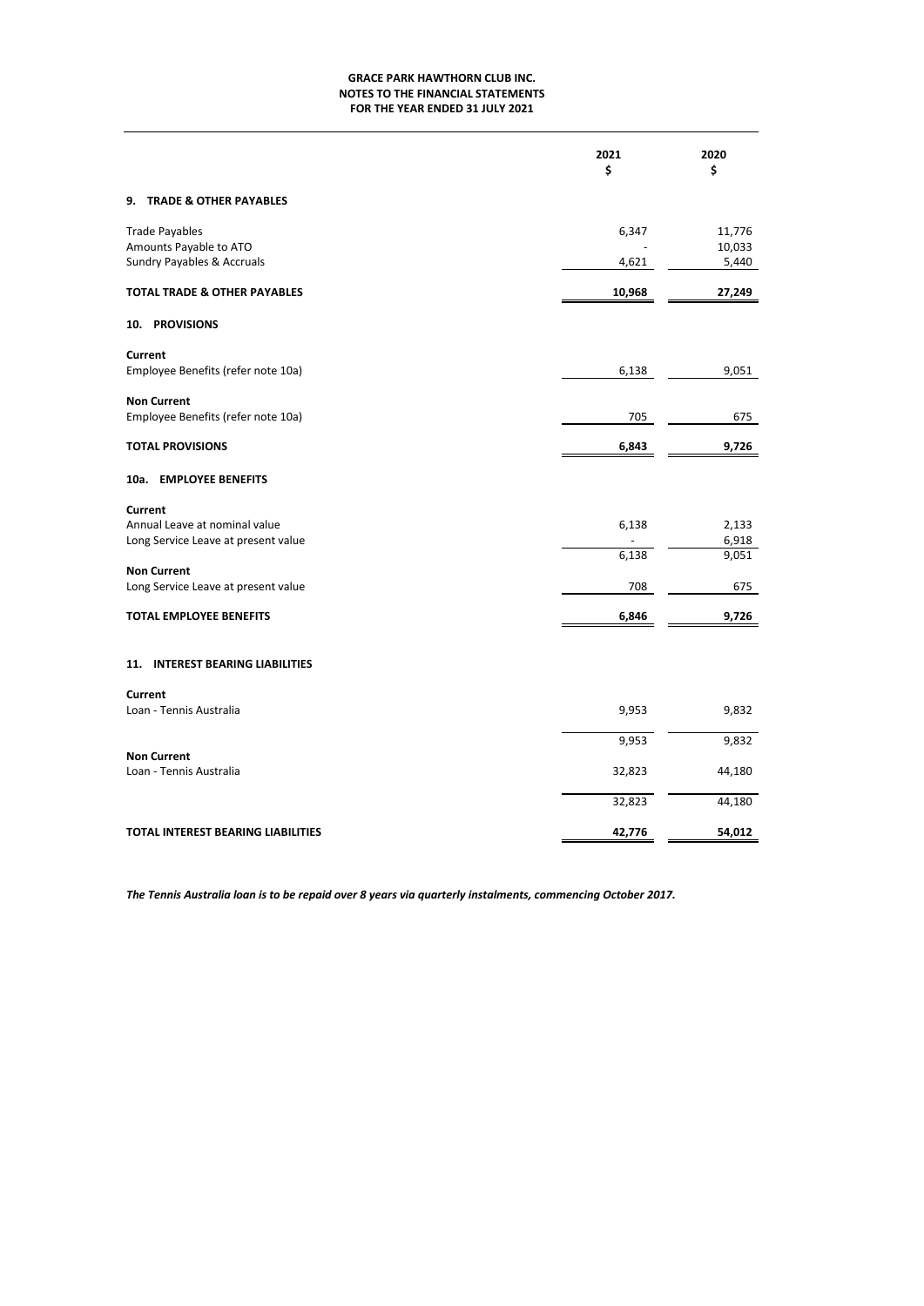# **NOTES TO THE FINANCIAL STATEMENTS FOR THE YEAR ENDED 31 JULY 2021 GRACE PARK HAWTHORN CLUB INC.**

|                                                                                 | 2021<br>\$ | 2020<br>\$       |
|---------------------------------------------------------------------------------|------------|------------------|
| 9.<br><b>TRADE &amp; OTHER PAYABLES</b>                                         |            |                  |
| <b>Trade Payables</b><br>Amounts Payable to ATO                                 | 6,347      | 11,776<br>10,033 |
| Sundry Payables & Accruals                                                      | 4,621      | 5,440            |
| <b>TOTAL TRADE &amp; OTHER PAYABLES</b>                                         | 10,968     | 27,249           |
| 10. PROVISIONS                                                                  |            |                  |
| Current<br>Employee Benefits (refer note 10a)                                   | 6,138      | 9,051            |
| <b>Non Current</b><br>Employee Benefits (refer note 10a)                        | 705        | 675              |
| <b>TOTAL PROVISIONS</b>                                                         | 6,843      | 9,726            |
| 10a. EMPLOYEE BENEFITS                                                          |            |                  |
| Current<br>Annual Leave at nominal value<br>Long Service Leave at present value | 6,138      | 2,133<br>6,918   |
| <b>Non Current</b>                                                              | 6,138      | 9,051            |
| Long Service Leave at present value                                             | 708        | 675              |
| <b>TOTAL EMPLOYEE BENEFITS</b>                                                  | 6,846      | 9,726            |
| 11. INTEREST BEARING LIABILITIES                                                |            |                  |
| Current<br>Loan - Tennis Australia                                              | 9,953      | 9,832            |
|                                                                                 | 9,953      | 9,832            |
| <b>Non Current</b><br>Loan - Tennis Australia                                   | 32,823     | 44,180           |
|                                                                                 | 32,823     | 44,180           |
| TOTAL INTEREST BEARING LIABILITIES                                              | 42,776     | 54,012           |

*The Tennis Australia loan is to be repaid over 8 years via quarterly instalments, commencing October 2017.*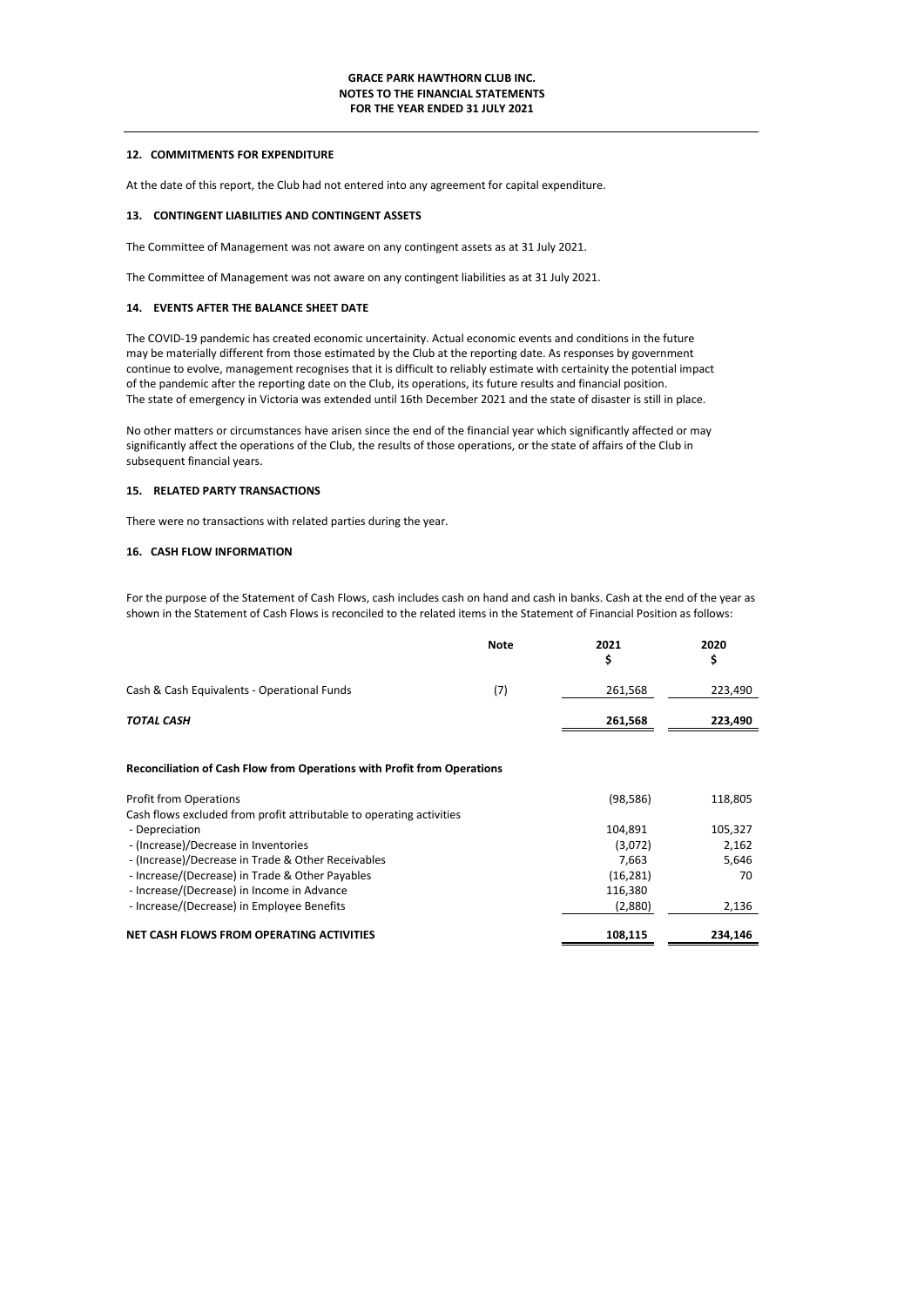## **12. COMMITMENTS FOR EXPENDITURE**

At the date of this report, the Club had not entered into any agreement for capital expenditure.

# **13. CONTINGENT LIABILITIES AND CONTINGENT ASSETS**

The Committee of Management was not aware on any contingent assets as at 31 July 2021.

The Committee of Management was not aware on any contingent liabilities as at 31 July 2021.

### **14. EVENTS AFTER THE BALANCE SHEET DATE**

The COVID-19 pandemic has created economic uncertainity. Actual economic events and conditions in the future may be materially different from those estimated by the Club at the reporting date. As responses by government continue to evolve, management recognises that it is difficult to reliably estimate with certainity the potential impact of the pandemic after the reporting date on the Club, its operations, its future results and financial position. The state of emergency in Victoria was extended until 16th December 2021 and the state of disaster is still in place.

No other matters or circumstances have arisen since the end of the financial year which significantly affected or may significantly affect the operations of the Club, the results of those operations, or the state of affairs of the Club in subsequent financial years.

## **15. RELATED PARTY TRANSACTIONS**

There were no transactions with related parties during the year.

# **16. CASH FLOW INFORMATION**

For the purpose of the Statement of Cash Flows, cash includes cash on hand and cash in banks. Cash at the end of the year as shown in the Statement of Cash Flows is reconciled to the related items in the Statement of Financial Position as follows:

|                                                                                | <b>Note</b> | 2021<br>\$ | 2020<br>\$ |
|--------------------------------------------------------------------------------|-------------|------------|------------|
| Cash & Cash Equivalents - Operational Funds                                    | (7)         | 261,568    | 223,490    |
| <b>TOTAL CASH</b>                                                              |             | 261,568    | 223,490    |
| <b>Reconciliation of Cash Flow from Operations with Profit from Operations</b> |             |            |            |
| <b>Profit from Operations</b>                                                  |             | (98, 586)  | 118,805    |
| Cash flows excluded from profit attributable to operating activities           |             |            |            |
| - Depreciation                                                                 |             | 104,891    | 105,327    |
| - (Increase)/Decrease in Inventories                                           |             | (3,072)    | 2,162      |
| - (Increase)/Decrease in Trade & Other Receivables                             |             | 7,663      | 5,646      |
| - Increase/(Decrease) in Trade & Other Payables                                |             | (16, 281)  | 70         |
| - Increase/(Decrease) in Income in Advance                                     |             | 116,380    |            |
| - Increase/(Decrease) in Employee Benefits                                     |             | (2,880)    | 2,136      |
| NET CASH FLOWS FROM OPERATING ACTIVITIES                                       |             | 108,115    | 234,146    |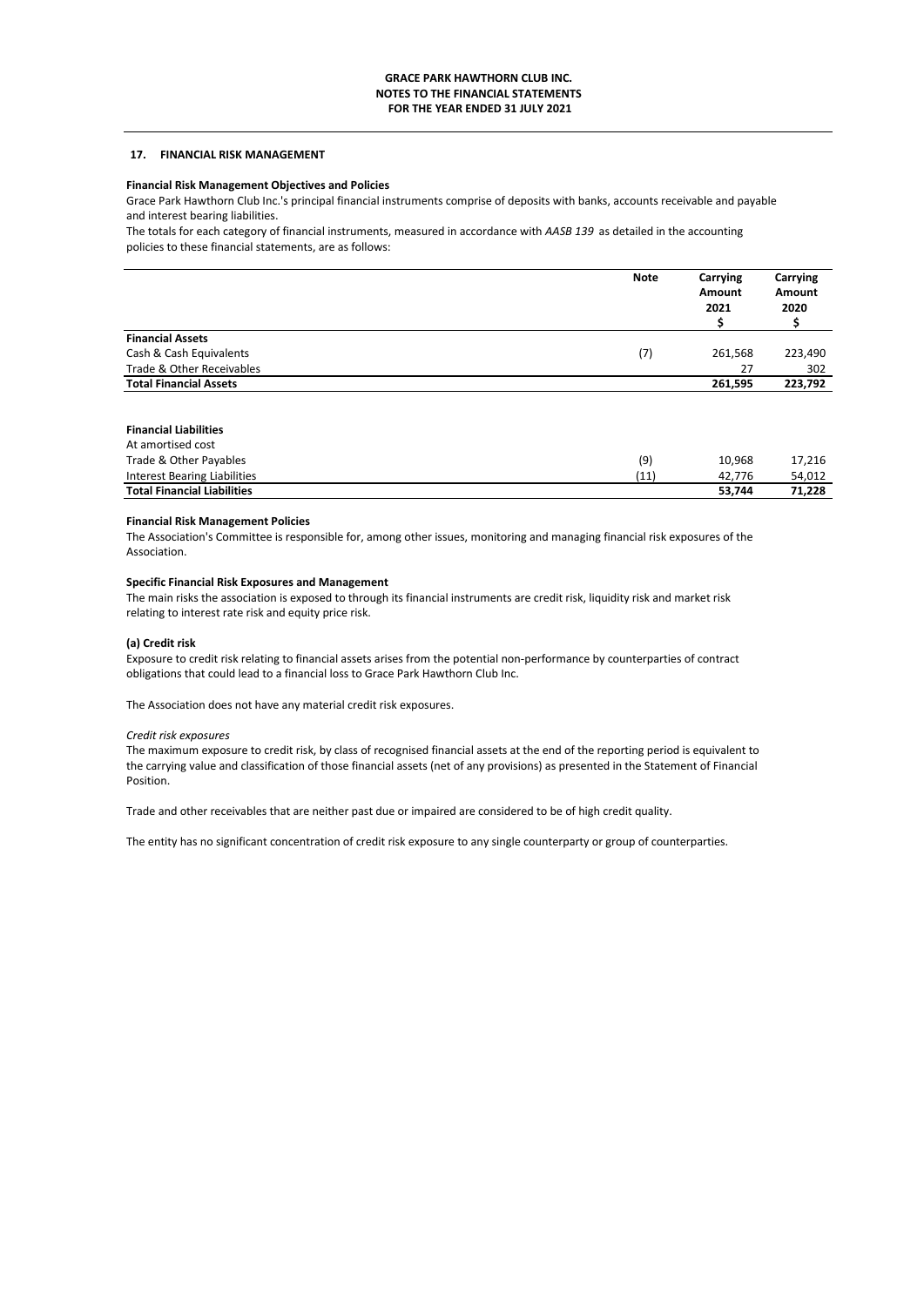# **17. FINANCIAL RISK MANAGEMENT**

# **Financial Risk Management Objectives and Policies**

Grace Park Hawthorn Club Inc.'s principal financial instruments comprise of deposits with banks, accounts receivable and payable and interest bearing liabilities.

The totals for each category of financial instruments, measured in accordance with *AASB 139* as detailed in the accounting policies to these financial statements, are as follows:

|                               | <b>Note</b> | Carrying<br>Amount<br>2021 | Carrying<br>Amount<br>2020 |
|-------------------------------|-------------|----------------------------|----------------------------|
| <b>Financial Assets</b>       |             |                            |                            |
| Cash & Cash Equivalents       | (7)         | 261,568                    | 223,490                    |
| Trade & Other Receivables     |             | 27                         | 302                        |
| <b>Total Financial Assets</b> |             | 261,595                    | 223,792                    |

## **Financial Liabilities**

| At amortised cost                  |      |        |        |
|------------------------------------|------|--------|--------|
| Trade & Other Payables             | (9)  | 10.968 | 17.216 |
| Interest Bearing Liabilities       | (11) | 42.776 | 54,012 |
| <b>Total Financial Liabilities</b> |      | 53.744 | 71.228 |

### **Financial Risk Management Policies**

The Association's Committee is responsible for, among other issues, monitoring and managing financial risk exposures of the Association.

## **Specific Financial Risk Exposures and Management**

The main risks the association is exposed to through its financial instruments are credit risk, liquidity risk and market risk relating to interest rate risk and equity price risk.

### **(a) Credit risk**

Exposure to credit risk relating to financial assets arises from the potential non-performance by counterparties of contract obligations that could lead to a financial loss to Grace Park Hawthorn Club Inc.

The Association does not have any material credit risk exposures.

### *Credit risk exposures*

The maximum exposure to credit risk, by class of recognised financial assets at the end of the reporting period is equivalent to the carrying value and classification of those financial assets (net of any provisions) as presented in the Statement of Financial Position.

Trade and other receivables that are neither past due or impaired are considered to be of high credit quality.

The entity has no significant concentration of credit risk exposure to any single counterparty or group of counterparties.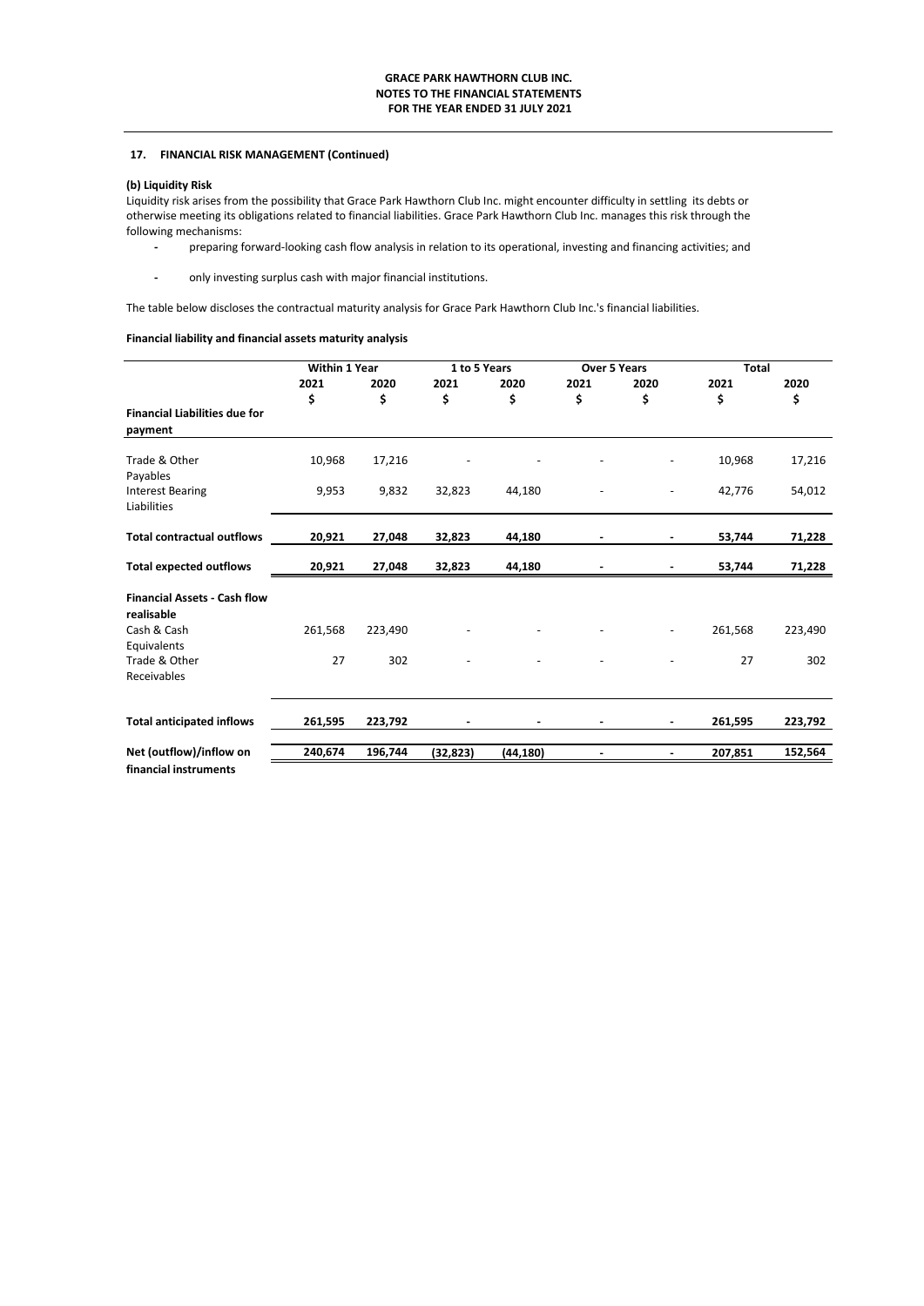# **17. FINANCIAL RISK MANAGEMENT (Continued)**

# **(b) Liquidity Risk**

Liquidity risk arises from the possibility that Grace Park Hawthorn Club Inc. might encounter difficulty in settling its debts or otherwise meeting its obligations related to financial liabilities. Grace Park Hawthorn Club Inc. manages this risk through the following mechanisms:

- preparing forward-looking cash flow analysis in relation to its operational, investing and financing activities; and
- only investing surplus cash with major financial institutions.

The table below discloses the contractual maturity analysis for Grace Park Hawthorn Club Inc.'s financial liabilities.

# **Financial liability and financial assets maturity analysis**

|                                                   | <b>Within 1 Year</b> |            | 1 to 5 Years |            | <b>Over 5 Years</b> |            | <b>Total</b> |            |
|---------------------------------------------------|----------------------|------------|--------------|------------|---------------------|------------|--------------|------------|
|                                                   | 2021<br>\$           | 2020<br>\$ | 2021<br>\$   | 2020<br>\$ | 2021<br>\$          | 2020<br>\$ | 2021<br>\$   | 2020<br>\$ |
| <b>Financial Liabilities due for</b><br>payment   |                      |            |              |            |                     |            |              |            |
| Trade & Other<br>Payables                         | 10,968               | 17,216     |              |            |                     |            | 10,968       | 17,216     |
| <b>Interest Bearing</b><br>Liabilities            | 9,953                | 9,832      | 32,823       | 44,180     |                     |            | 42,776       | 54,012     |
| <b>Total contractual outflows</b>                 | 20,921               | 27,048     | 32,823       | 44,180     |                     | ۰          | 53,744       | 71,228     |
| <b>Total expected outflows</b>                    | 20,921               | 27,048     | 32,823       | 44,180     |                     |            | 53,744       | 71,228     |
| <b>Financial Assets - Cash flow</b><br>realisable |                      |            |              |            |                     |            |              |            |
| Cash & Cash<br>Equivalents                        | 261,568              | 223,490    |              |            |                     |            | 261,568      | 223,490    |
| Trade & Other<br>Receivables                      | 27                   | 302        |              |            |                     |            | 27           | 302        |
| <b>Total anticipated inflows</b>                  | 261,595              | 223,792    |              |            |                     |            | 261,595      | 223,792    |
| Net (outflow)/inflow on                           | 240,674              | 196,744    | (32, 823)    | (44, 180)  |                     |            | 207,851      | 152,564    |
| financial instruments                             |                      |            |              |            |                     |            |              |            |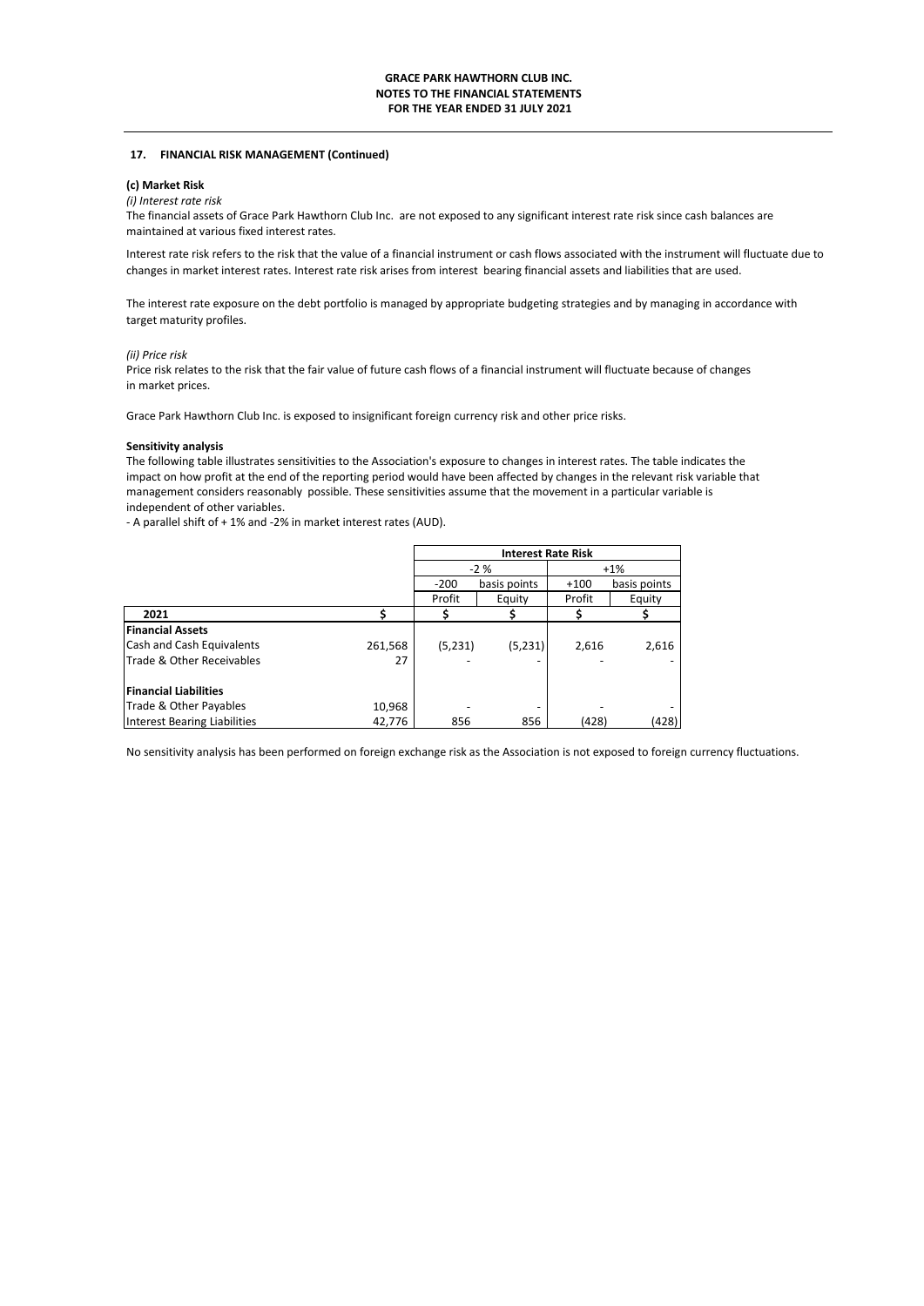### **17. FINANCIAL RISK MANAGEMENT (Continued)**

## **(c) Market Risk**

# *(i) Interest rate risk*

The financial assets of Grace Park Hawthorn Club Inc. are not exposed to any significant interest rate risk since cash balances are maintained at various fixed interest rates.

Interest rate risk refers to the risk that the value of a financial instrument or cash flows associated with the instrument will fluctuate due to changes in market interest rates. Interest rate risk arises from interest bearing financial assets and liabilities that are used.

The interest rate exposure on the debt portfolio is managed by appropriate budgeting strategies and by managing in accordance with target maturity profiles.

### *(ii) Price risk*

Price risk relates to the risk that the fair value of future cash flows of a financial instrument will fluctuate because of changes in market prices.

Grace Park Hawthorn Club Inc. is exposed to insignificant foreign currency risk and other price risks.

#### **Sensitivity analysis**

The following table illustrates sensitivities to the Association's exposure to changes in interest rates. The table indicates the impact on how profit at the end of the reporting period would have been affected by changes in the relevant risk variable that management considers reasonably possible. These sensitivities assume that the movement in a particular variable is independent of other variables.

- A parallel shift of + 1% and -2% in market interest rates (AUD).

|                              |         | <b>Interest Rate Risk</b> |              |        |              |  |
|------------------------------|---------|---------------------------|--------------|--------|--------------|--|
|                              |         |                           | $-2%$        | $+1%$  |              |  |
|                              |         | $-200$                    | basis points | $+100$ | basis points |  |
|                              |         | Profit                    | Equity       | Profit | Equity       |  |
| 2021                         |         |                           |              |        |              |  |
| <b>Financial Assets</b>      |         |                           |              |        |              |  |
| Cash and Cash Equivalents    | 261,568 | (5,231)                   | (5,231)      | 2,616  | 2,616        |  |
| Trade & Other Receivables    | 27      |                           |              |        |              |  |
| <b>Financial Liabilities</b> |         |                           |              |        |              |  |
| Trade & Other Payables       | 10,968  |                           |              |        |              |  |
| Interest Bearing Liabilities | 42,776  | 856                       | 856          | (428)  | (428)        |  |

No sensitivity analysis has been performed on foreign exchange risk as the Association is not exposed to foreign currency fluctuations.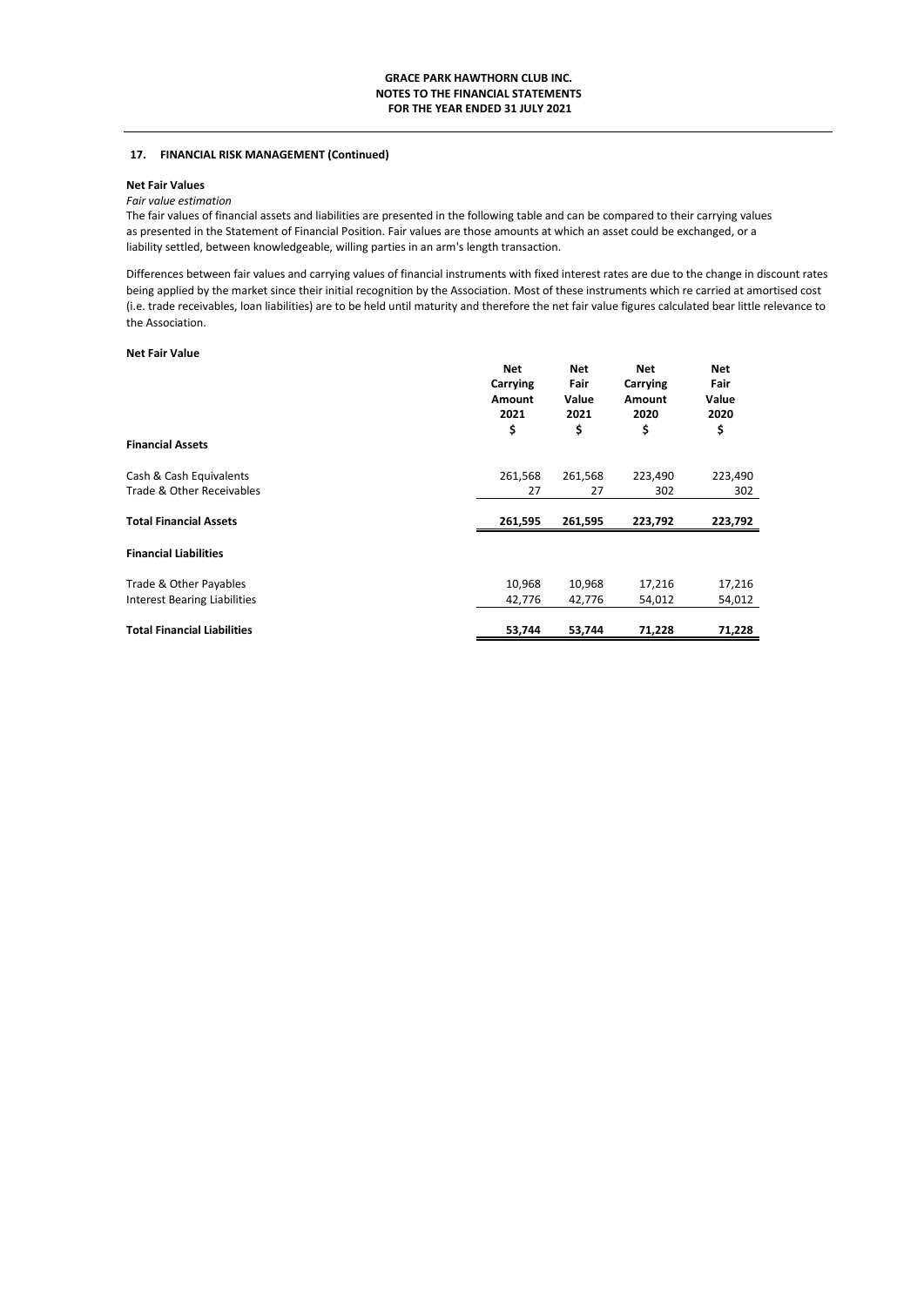# **17. FINANCIAL RISK MANAGEMENT (Continued)**

## **Net Fair Values**

## *Fair value estimation*

The fair values of financial assets and liabilities are presented in the following table and can be compared to their carrying values as presented in the Statement of Financial Position. Fair values are those amounts at which an asset could be exchanged, or a liability settled, between knowledgeable, willing parties in an arm's length transaction.

Differences between fair values and carrying values of financial instruments with fixed interest rates are due to the change in discount rates being applied by the market since their initial recognition by the Association. Most of these instruments which re carried at amortised cost (i.e. trade receivables, loan liabilities) are to be held until maturity and therefore the net fair value figures calculated bear little relevance to the Association.

## **Net Fair Value**

|                                     | <b>Net</b><br>Carrying<br>Amount<br>2021<br>\$ | <b>Net</b><br>Fair<br>Value<br>2021<br>\$ | <b>Net</b><br>Carrying<br>Amount<br>2020<br>\$ | <b>Net</b><br>Fair<br>Value<br>2020<br>\$ |
|-------------------------------------|------------------------------------------------|-------------------------------------------|------------------------------------------------|-------------------------------------------|
| <b>Financial Assets</b>             |                                                |                                           |                                                |                                           |
| Cash & Cash Equivalents             | 261,568                                        | 261,568                                   | 223,490                                        | 223,490                                   |
| Trade & Other Receivables           | 27                                             | 27                                        | 302                                            | 302                                       |
| <b>Total Financial Assets</b>       | 261,595                                        | 261,595                                   | 223,792                                        | 223,792                                   |
| <b>Financial Liabilities</b>        |                                                |                                           |                                                |                                           |
| Trade & Other Payables              | 10,968                                         | 10,968                                    | 17,216                                         | 17,216                                    |
| <b>Interest Bearing Liabilities</b> | 42,776                                         | 42,776                                    | 54,012                                         | 54,012                                    |
| <b>Total Financial Liabilities</b>  | 53,744                                         | 53,744                                    | 71,228                                         | 71,228                                    |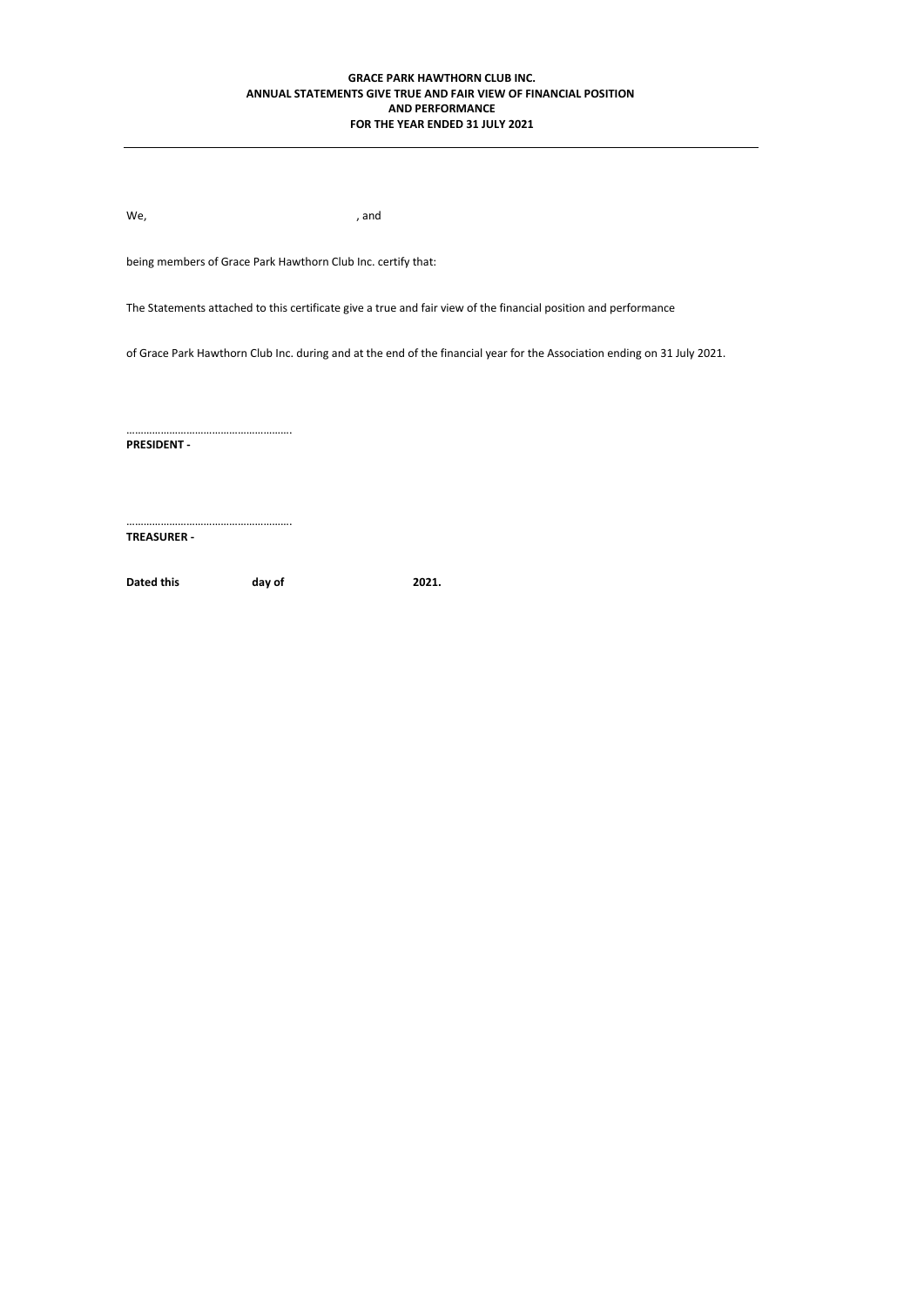## **AND PERFORMANCE FOR THE YEAR ENDED 31 JULY 2021 GRACE PARK HAWTHORN CLUB INC. ANNUAL STATEMENTS GIVE TRUE AND FAIR VIEW OF FINANCIAL POSITION**

We, the contract of the contract of the contract of the contract of the contract of the contract of the contract of the contract of the contract of the contract of the contract of the contract of the contract of the contra

………………………………………………….

………………………………………………….

being members of Grace Park Hawthorn Club Inc. certify that:

The Statements attached to this certificate give a true and fair view of the financial position and performance

of Grace Park Hawthorn Club Inc. during and at the end of the financial year for the Association ending on 31 July 2021.

**PRESIDENT -**

**TREASURER -** 

Dated this day of 2021.